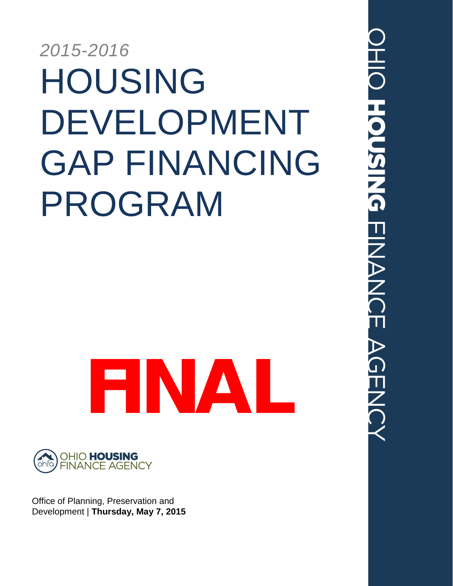# *2015-2016* HOUSING DEVELOPMENT GAP FINANCING PROGRAM





Office of Planning, Preservation and Development | **Thursday, May 7, 2015**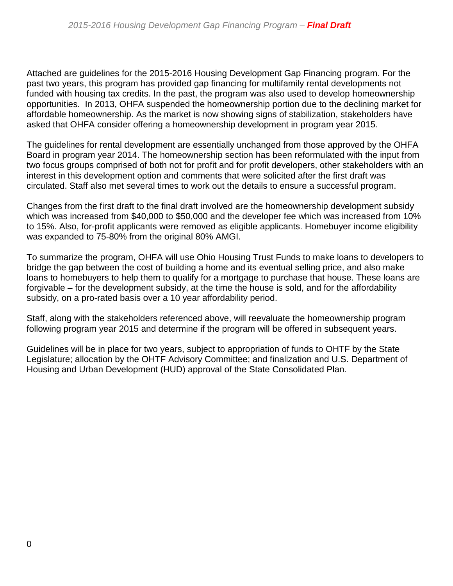Attached are guidelines for the 2015-2016 Housing Development Gap Financing program. For the past two years, this program has provided gap financing for multifamily rental developments not funded with housing tax credits. In the past, the program was also used to develop homeownership opportunities. In 2013, OHFA suspended the homeownership portion due to the declining market for affordable homeownership. As the market is now showing signs of stabilization, stakeholders have asked that OHFA consider offering a homeownership development in program year 2015.

The guidelines for rental development are essentially unchanged from those approved by the OHFA Board in program year 2014. The homeownership section has been reformulated with the input from two focus groups comprised of both not for profit and for profit developers, other stakeholders with an interest in this development option and comments that were solicited after the first draft was circulated. Staff also met several times to work out the details to ensure a successful program.

Changes from the first draft to the final draft involved are the homeownership development subsidy which was increased from \$40,000 to \$50,000 and the developer fee which was increased from 10% to 15%. Also, for-profit applicants were removed as eligible applicants. Homebuyer income eligibility was expanded to 75-80% from the original 80% AMGI.

To summarize the program, OHFA will use Ohio Housing Trust Funds to make loans to developers to bridge the gap between the cost of building a home and its eventual selling price, and also make loans to homebuyers to help them to qualify for a mortgage to purchase that house. These loans are forgivable – for the development subsidy, at the time the house is sold, and for the affordability subsidy, on a pro-rated basis over a 10 year affordability period.

Staff, along with the stakeholders referenced above, will reevaluate the homeownership program following program year 2015 and determine if the program will be offered in subsequent years.

Guidelines will be in place for two years, subject to appropriation of funds to OHTF by the State Legislature; allocation by the OHTF Advisory Committee; and finalization and U.S. Department of Housing and Urban Development (HUD) approval of the State Consolidated Plan.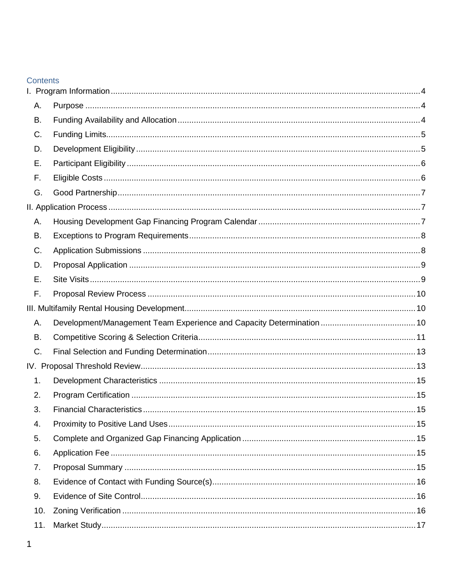#### Contents

| Α.  |  |
|-----|--|
| В.  |  |
| C.  |  |
| D.  |  |
| Ε.  |  |
| F.  |  |
| G.  |  |
|     |  |
| Α.  |  |
| В.  |  |
| C.  |  |
| D.  |  |
| Е.  |  |
| F.  |  |
|     |  |
| Α.  |  |
| В.  |  |
| C.  |  |
|     |  |
| 1.  |  |
| 2.  |  |
| 3.  |  |
| 4.  |  |
| 5.  |  |
| 6.  |  |
| 7.  |  |
| 8.  |  |
| 9.  |  |
| 10. |  |
| 11. |  |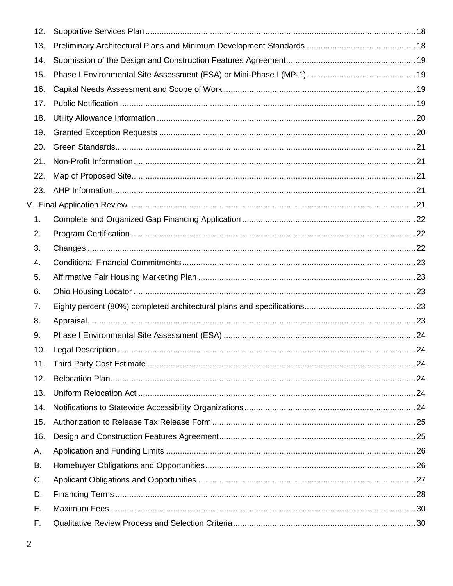| 12. |  |
|-----|--|
| 13. |  |
| 14. |  |
| 15. |  |
| 16. |  |
| 17. |  |
| 18. |  |
| 19. |  |
| 20. |  |
| 21. |  |
| 22. |  |
| 23. |  |
|     |  |
| 1.  |  |
| 2.  |  |
| 3.  |  |
| 4.  |  |
| 5.  |  |
| 6.  |  |
| 7.  |  |
| 8.  |  |
| 9.  |  |
| 10. |  |
| 11. |  |
| 12. |  |
| 13. |  |
| 14. |  |
| 15. |  |
| 16. |  |
| Α.  |  |
| В.  |  |
| C.  |  |
| D.  |  |
| Ε.  |  |
| F.  |  |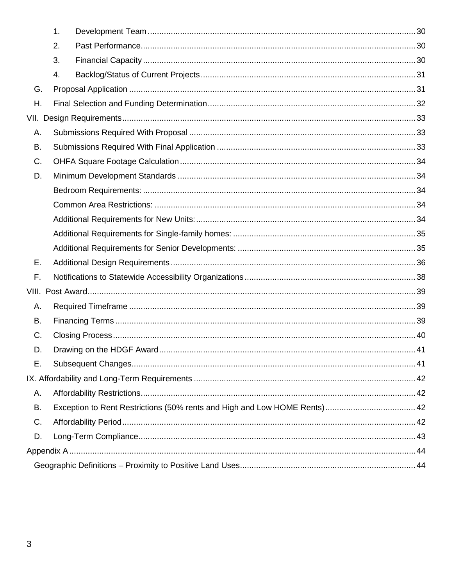|    | 1. |  |
|----|----|--|
|    | 2. |  |
|    | 3. |  |
|    | 4. |  |
| G. |    |  |
| Η. |    |  |
|    |    |  |
| Α. |    |  |
| В. |    |  |
| C. |    |  |
| D. |    |  |
|    |    |  |
|    |    |  |
|    |    |  |
|    |    |  |
|    |    |  |
| Ε. |    |  |
| F. |    |  |
|    |    |  |
| Α. |    |  |
| В. |    |  |
| C. |    |  |
| D. |    |  |
| Е. |    |  |
|    |    |  |
| Α. |    |  |
| B. |    |  |
| C. |    |  |
| D. |    |  |
|    |    |  |
|    |    |  |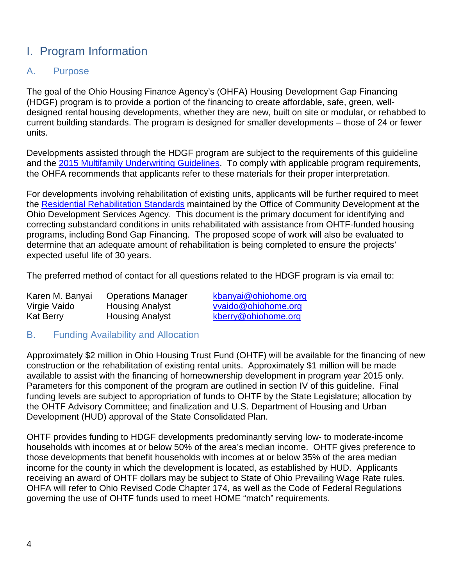# <span id="page-5-0"></span>I. Program Information

#### <span id="page-5-1"></span>A. Purpose

The goal of the Ohio Housing Finance Agency's (OHFA) Housing Development Gap Financing (HDGF) program is to provide a portion of the financing to create affordable, safe, green, welldesigned rental housing developments, whether they are new, built on site or modular, or rehabbed to current building standards. The program is designed for smaller developments – those of 24 or fewer units.

Developments assisted through the HDGF program are subject to the requirements of this guideline and the [2015 Multifamily Underwriting Guidelines.](https://ohiohome.org/lihtc/2015OHFA-FinalMultifamilyUWGuidelines.pdf) To comply with applicable program requirements, the OHFA recommends that applicants refer to these materials for their proper interpretation.

For developments involving rehabilitation of existing units, applicants will be further required to meet the [Residential Rehabilitation Standards](http://development.ohio.gov/files/cs/RRS%20and%20Commentary%20December%202014.pdf) maintained by the Office of Community Development at the Ohio Development Services Agency. This document is the primary document for identifying and correcting substandard conditions in units rehabilitated with assistance from OHTF-funded housing programs, including Bond Gap Financing. The proposed scope of work will also be evaluated to determine that an adequate amount of rehabilitation is being completed to ensure the projects' expected useful life of 30 years.

The preferred method of contact for all questions related to the HDGF program is via email to:

| Karen M. Banyai  | <b>Operations Manager</b> |
|------------------|---------------------------|
| Virgie Vaido     | <b>Housing Analyst</b>    |
| <b>Kat Berry</b> | <b>Housing Analyst</b>    |

[kbanyai@ohiohome.org](mailto:kbanyai@ohiohome.org) [vvaido@ohiohome.org](mailto:vvaido@ohiohome.org) [kberry@ohiohome.org](mailto:kberry@ohiohome.org)

#### <span id="page-5-2"></span>B. Funding Availability and Allocation

Approximately \$2 million in Ohio Housing Trust Fund (OHTF) will be available for the financing of new construction or the rehabilitation of existing rental units. Approximately \$1 million will be made available to assist with the financing of homeownership development in program year 2015 only. Parameters for this component of the program are outlined in section IV of this guideline. Final funding levels are subject to appropriation of funds to OHTF by the State Legislature; allocation by the OHTF Advisory Committee; and finalization and U.S. Department of Housing and Urban Development (HUD) approval of the State Consolidated Plan.

OHTF provides funding to HDGF developments predominantly serving low- to moderate-income households with incomes at or below 50% of the area's median income. OHTF gives preference to those developments that benefit households with incomes at or below 35% of the area median income for the county in which the development is located, as established by HUD. Applicants receiving an award of OHTF dollars may be subject to State of Ohio Prevailing Wage Rate rules. OHFA will refer to Ohio Revised Code Chapter 174, as well as the Code of Federal Regulations governing the use of OHTF funds used to meet HOME "match" requirements.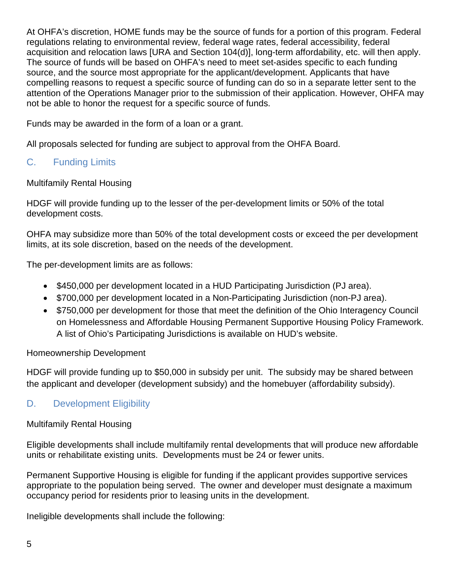At OHFA's discretion, HOME funds may be the source of funds for a portion of this program. Federal regulations relating to environmental review, federal wage rates, federal accessibility, federal acquisition and relocation laws [URA and Section 104(d)], long-term affordability, etc. will then apply. The source of funds will be based on OHFA's need to meet set-asides specific to each funding source, and the source most appropriate for the applicant/development. Applicants that have compelling reasons to request a specific source of funding can do so in a separate letter sent to the attention of the Operations Manager prior to the submission of their application. However, OHFA may not be able to honor the request for a specific source of funds.

Funds may be awarded in the form of a loan or a grant.

All proposals selected for funding are subject to approval from the OHFA Board.

### <span id="page-6-0"></span>C. Funding Limits

Multifamily Rental Housing

HDGF will provide funding up to the lesser of the per-development limits or 50% of the total development costs.

OHFA may subsidize more than 50% of the total development costs or exceed the per development limits, at its sole discretion, based on the needs of the development.

The per-development limits are as follows:

- \$450,000 per development located in a HUD Participating Jurisdiction (PJ area).
- \$700,000 per development located in a Non-Participating Jurisdiction (non-PJ area).
- \$750,000 per development for those that meet the definition of the Ohio Interagency Council on Homelessness and Affordable Housing Permanent Supportive Housing Policy Framework. A list of Ohio's Participating Jurisdictions is available on HUD's website.

#### Homeownership Development

HDGF will provide funding up to \$50,000 in subsidy per unit. The subsidy may be shared between the applicant and developer (development subsidy) and the homebuyer (affordability subsidy).

#### <span id="page-6-1"></span>D. Development Eligibility

#### Multifamily Rental Housing

Eligible developments shall include multifamily rental developments that will produce new affordable units or rehabilitate existing units. Developments must be 24 or fewer units.

Permanent Supportive Housing is eligible for funding if the applicant provides supportive services appropriate to the population being served. The owner and developer must designate a maximum occupancy period for residents prior to leasing units in the development.

Ineligible developments shall include the following: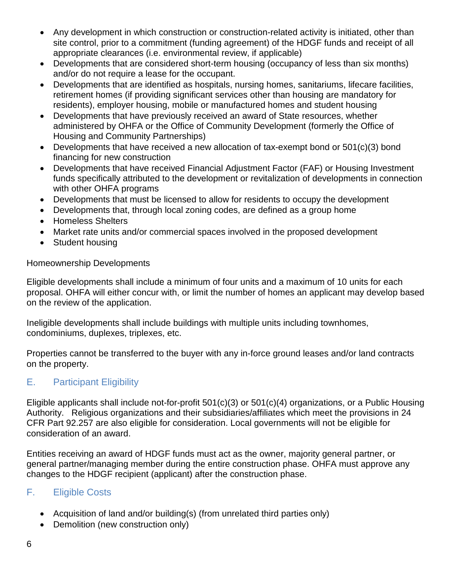- Any development in which construction or construction-related activity is initiated, other than site control, prior to a commitment (funding agreement) of the HDGF funds and receipt of all appropriate clearances (i.e. environmental review, if applicable)
- Developments that are considered short-term housing (occupancy of less than six months) and/or do not require a lease for the occupant.
- Developments that are identified as hospitals, nursing homes, sanitariums, lifecare facilities, retirement homes (if providing significant services other than housing are mandatory for residents), employer housing, mobile or manufactured homes and student housing
- Developments that have previously received an award of State resources, whether administered by OHFA or the Office of Community Development (formerly the Office of Housing and Community Partnerships)
- Developments that have received a new allocation of tax-exempt bond or 501(c)(3) bond financing for new construction
- Developments that have received Financial Adjustment Factor (FAF) or Housing Investment funds specifically attributed to the development or revitalization of developments in connection with other OHFA programs
- Developments that must be licensed to allow for residents to occupy the development
- Developments that, through local zoning codes, are defined as a group home
- Homeless Shelters
- Market rate units and/or commercial spaces involved in the proposed development
- Student housing

#### Homeownership Developments

Eligible developments shall include a minimum of four units and a maximum of 10 units for each proposal. OHFA will either concur with, or limit the number of homes an applicant may develop based on the review of the application.

Ineligible developments shall include buildings with multiple units including townhomes, condominiums, duplexes, triplexes, etc.

Properties cannot be transferred to the buyer with any in-force ground leases and/or land contracts on the property.

#### <span id="page-7-0"></span>E. Participant Eligibility

Eligible applicants shall include not-for-profit 501(c)(3) or 501(c)(4) organizations, or a Public Housing Authority. Religious organizations and their subsidiaries/affiliates which meet the provisions in 24 CFR Part 92.257 are also eligible for consideration. Local governments will not be eligible for consideration of an award.

Entities receiving an award of HDGF funds must act as the owner, majority general partner, or general partner/managing member during the entire construction phase. OHFA must approve any changes to the HDGF recipient (applicant) after the construction phase.

#### <span id="page-7-1"></span>F. Eligible Costs

- Acquisition of land and/or building(s) (from unrelated third parties only)
- Demolition (new construction only)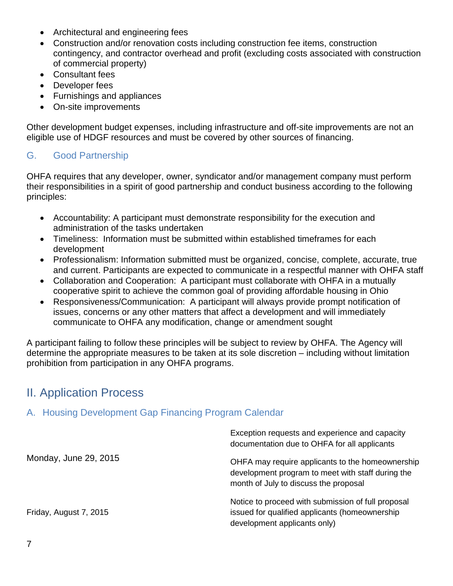- Architectural and engineering fees
- Construction and/or renovation costs including construction fee items, construction contingency, and contractor overhead and profit (excluding costs associated with construction of commercial property)
- Consultant fees
- Developer fees
- Furnishings and appliances
- On-site improvements

Other development budget expenses, including infrastructure and off-site improvements are not an eligible use of HDGF resources and must be covered by other sources of financing.

#### <span id="page-8-0"></span>G. Good Partnership

OHFA requires that any developer, owner, syndicator and/or management company must perform their responsibilities in a spirit of good partnership and conduct business according to the following principles:

- Accountability: A participant must demonstrate responsibility for the execution and administration of the tasks undertaken
- Timeliness: Information must be submitted within established timeframes for each development
- Professionalism: Information submitted must be organized, concise, complete, accurate, true and current. Participants are expected to communicate in a respectful manner with OHFA staff
- Collaboration and Cooperation: A participant must collaborate with OHFA in a mutually cooperative spirit to achieve the common goal of providing affordable housing in Ohio
- Responsiveness/Communication: A participant will always provide prompt notification of issues, concerns or any other matters that affect a development and will immediately communicate to OHFA any modification, change or amendment sought

A participant failing to follow these principles will be subject to review by OHFA. The Agency will determine the appropriate measures to be taken at its sole discretion – including without limitation prohibition from participation in any OHFA programs.

## <span id="page-8-1"></span>II. Application Process

#### <span id="page-8-2"></span>A. Housing Development Gap Financing Program Calendar

|                        | Exception requests and experience and capacity<br>documentation due to OHFA for all applicants                                                 |
|------------------------|------------------------------------------------------------------------------------------------------------------------------------------------|
| Monday, June 29, 2015  | OHFA may require applicants to the homeownership<br>development program to meet with staff during the<br>month of July to discuss the proposal |
| Friday, August 7, 2015 | Notice to proceed with submission of full proposal<br>issued for qualified applicants (homeownership<br>development applicants only)           |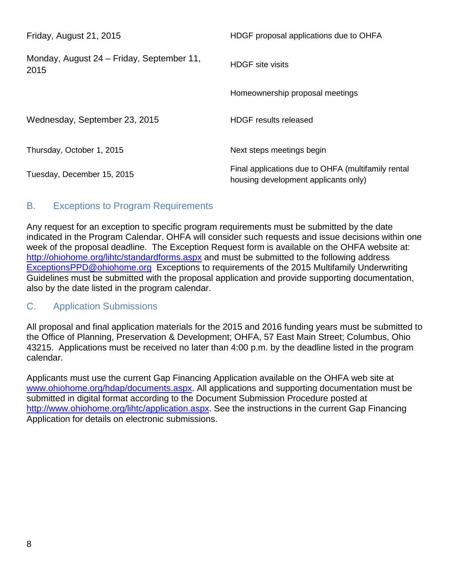| Friday, August 21, 2015                           | HDGF proposal applications due to OHFA                                                     |
|---------------------------------------------------|--------------------------------------------------------------------------------------------|
| Monday, August 24 – Friday, September 11,<br>2015 | <b>HDGF</b> site visits                                                                    |
|                                                   | Homeownership proposal meetings                                                            |
| Wednesday, September 23, 2015                     | HDGF results released                                                                      |
| Thursday, October 1, 2015                         | Next steps meetings begin                                                                  |
| Tuesday, December 15, 2015                        | Final applications due to OHFA (multifamily rental<br>housing development applicants only) |

#### <span id="page-9-0"></span>B. Exceptions to Program Requirements

Any request for an exception to specific program requirements must be submitted by the date indicated in the Program Calendar. OHFA will consider such requests and issue decisions within one week of the proposal deadline. The Exception Request form is available on the OHFA website at: <http://ohiohome.org/lihtc/standardforms.aspx> and must be submitted to the following address [ExceptionsPPD@ohiohome.org](mailto:ExceptionsPPD@ohiohome.org) Exceptions to requirements of the 2015 Multifamily Underwriting Guidelines must be submitted with the proposal application and provide supporting documentation, also by the date listed in the program calendar.

#### <span id="page-9-1"></span>C. Application Submissions

All proposal and final application materials for the 2015 and 2016 funding years must be submitted to the Office of Planning, Preservation & Development; OHFA, 57 East Main Street; Columbus, Ohio 43215. Applications must be received no later than 4:00 p.m. by the deadline listed in the program calendar.

Applicants must use the current Gap Financing Application available on the OHFA web site at [www.ohiohome.org/hdap/documents.aspx.](http://www.ohiohome.org/hdap/documents.aspx) All applications and supporting documentation must be submitted in digital format according to the Document Submission Procedure posted at [http://www.ohiohome.org/lihtc/application.aspx.](http://www.ohiohome.org/lihtc/application.aspx) See the instructions in the current Gap Financing Application for details on electronic submissions.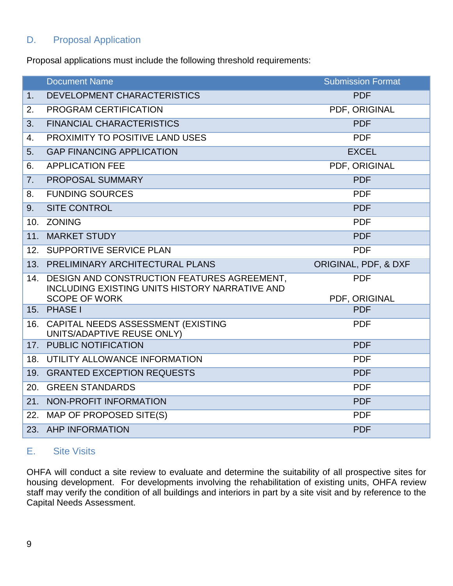#### <span id="page-10-0"></span>D. Proposal Application

Proposal applications must include the following threshold requirements:

|                | <b>Document Name</b>                                                                          | <b>Submission Format</b>    |
|----------------|-----------------------------------------------------------------------------------------------|-----------------------------|
| 1 <sub>1</sub> | DEVELOPMENT CHARACTERISTICS                                                                   | <b>PDF</b>                  |
| 2.             | PROGRAM CERTIFICATION                                                                         | PDF, ORIGINAL               |
| 3.             | <b>FINANCIAL CHARACTERISTICS</b>                                                              | <b>PDF</b>                  |
| 4.             | PROXIMITY TO POSITIVE LAND USES                                                               | <b>PDF</b>                  |
| 5.             | <b>GAP FINANCING APPLICATION</b>                                                              | <b>EXCEL</b>                |
| 6.             | <b>APPLICATION FEE</b>                                                                        | PDF, ORIGINAL               |
| 7.             | PROPOSAL SUMMARY                                                                              | <b>PDF</b>                  |
| 8.             | <b>FUNDING SOURCES</b>                                                                        | <b>PDF</b>                  |
| 9 <sub>1</sub> | <b>SITE CONTROL</b>                                                                           | <b>PDF</b>                  |
| 10.            | <b>ZONING</b>                                                                                 | <b>PDF</b>                  |
| 11.            | <b>MARKET STUDY</b>                                                                           | <b>PDF</b>                  |
| 12.            | SUPPORTIVE SERVICE PLAN                                                                       | <b>PDF</b>                  |
|                | 13. PRELIMINARY ARCHITECTURAL PLANS                                                           | ORIGINAL, PDF, & DXF        |
| 14.            | DESIGN AND CONSTRUCTION FEATURES AGREEMENT,<br>INCLUDING EXISTING UNITS HISTORY NARRATIVE AND | <b>PDF</b>                  |
| 15.            | <b>SCOPE OF WORK</b><br><b>PHASE I</b>                                                        | PDF, ORIGINAL<br><b>PDF</b> |
|                |                                                                                               |                             |
| 16.            | CAPITAL NEEDS ASSESSMENT (EXISTING<br>UNITS/ADAPTIVE REUSE ONLY)                              | <b>PDF</b>                  |
|                | 17. PUBLIC NOTIFICATION                                                                       | <b>PDF</b>                  |
| 18.            | UTILITY ALLOWANCE INFORMATION                                                                 | <b>PDF</b>                  |
|                | 19. GRANTED EXCEPTION REQUESTS                                                                | <b>PDF</b>                  |
|                | 20. GREEN STANDARDS                                                                           | <b>PDF</b>                  |
| 21.            | NON-PROFIT INFORMATION                                                                        | <b>PDF</b>                  |
| 22.            | MAP OF PROPOSED SITE(S)                                                                       | <b>PDF</b>                  |
|                | 23. AHP INFORMATION                                                                           | <b>PDF</b>                  |

#### <span id="page-10-1"></span>E. Site Visits

OHFA will conduct a site review to evaluate and determine the suitability of all prospective sites for housing development. For developments involving the rehabilitation of existing units, OHFA review staff may verify the condition of all buildings and interiors in part by a site visit and by reference to the Capital Needs Assessment.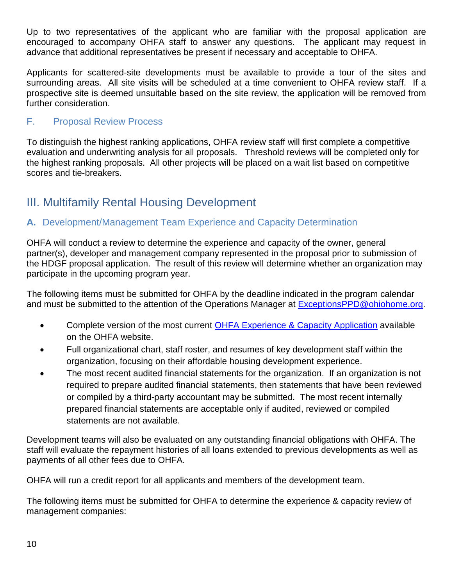Up to two representatives of the applicant who are familiar with the proposal application are encouraged to accompany OHFA staff to answer any questions. The applicant may request in advance that additional representatives be present if necessary and acceptable to OHFA.

Applicants for scattered-site developments must be available to provide a tour of the sites and surrounding areas. All site visits will be scheduled at a time convenient to OHFA review staff. If a prospective site is deemed unsuitable based on the site review, the application will be removed from further consideration.

#### <span id="page-11-0"></span>F. Proposal Review Process

To distinguish the highest ranking applications, OHFA review staff will first complete a competitive evaluation and underwriting analysis for all proposals. Threshold reviews will be completed only for the highest ranking proposals. All other projects will be placed on a wait list based on competitive scores and tie-breakers.

# <span id="page-11-1"></span>III. Multifamily Rental Housing Development

#### <span id="page-11-2"></span>**A.** Development/Management Team Experience and Capacity Determination

OHFA will conduct a review to determine the experience and capacity of the owner, general partner(s), developer and management company represented in the proposal prior to submission of the HDGF proposal application. The result of this review will determine whether an organization may participate in the upcoming program year.

The following items must be submitted for OHFA by the deadline indicated in the program calendar and must be submitted to the attention of the Operations Manager at **ExceptionsPPD@ohiohome.org**.

- Complete version of the most current [OHFA Experience & Capacity Application](http://www.ohiohome.org/search.aspx?cx=009783617569481407244%3Aevozsswjgi4&cof=FORID%3A11&q=experience+and+capacity+application&go.x=0&go.y=0&go=Search&siteurl=http%3A%2F%2Fwww.ohiohome.org%2F) available on the OHFA website.
- Full organizational chart, staff roster, and resumes of key development staff within the organization, focusing on their affordable housing development experience.
- The most recent audited financial statements for the organization. If an organization is not required to prepare audited financial statements, then statements that have been reviewed or compiled by a third-party accountant may be submitted. The most recent internally prepared financial statements are acceptable only if audited, reviewed or compiled statements are not available.

Development teams will also be evaluated on any outstanding financial obligations with OHFA. The staff will evaluate the repayment histories of all loans extended to previous developments as well as payments of all other fees due to OHFA.

OHFA will run a credit report for all applicants and members of the development team.

The following items must be submitted for OHFA to determine the experience & capacity review of management companies: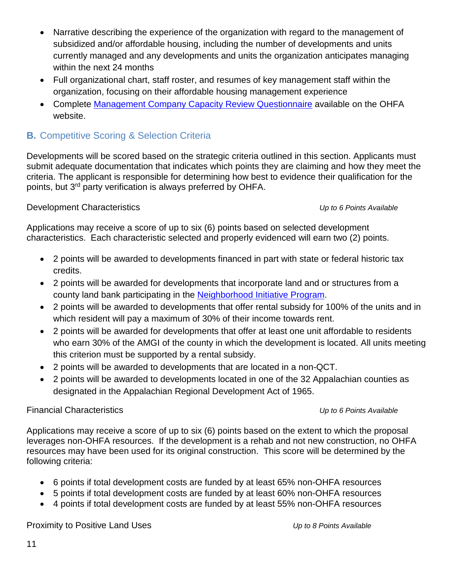- Narrative describing the experience of the organization with regard to the management of subsidized and/or affordable housing, including the number of developments and units currently managed and any developments and units the organization anticipates managing within the next 24 months
- Full organizational chart, staff roster, and resumes of key management staff within the organization, focusing on their affordable housing management experience
- Complete [Management Company Capacity Review Questionnaire](https://ohiohome.org/compliance/capacityreviewquestionnaire.pdf) available on the OHFA website.

#### <span id="page-12-0"></span>**B.** Competitive Scoring & Selection Criteria

Developments will be scored based on the strategic criteria outlined in this section. Applicants must submit adequate documentation that indicates which points they are claiming and how they meet the criteria. The applicant is responsible for determining how best to evidence their qualification for the points, but 3<sup>rd</sup> party verification is always preferred by OHFA.

#### Development Characteristics *Up to 6 Points Available*

Applications may receive a score of up to six (6) points based on selected development characteristics. Each characteristic selected and properly evidenced will earn two (2) points.

- 2 points will be awarded to developments financed in part with state or federal historic tax credits.
- 2 points will be awarded for developments that incorporate land and or structures from a county land bank participating in the [Neighborhood Initiative Program.](https://ohiohome.org/savethedream/neighborhoodinitiative.aspx)
- 2 points will be awarded to developments that offer rental subsidy for 100% of the units and in which resident will pay a maximum of 30% of their income towards rent.
- 2 points will be awarded for developments that offer at least one unit affordable to residents who earn 30% of the AMGI of the county in which the development is located. All units meeting this criterion must be supported by a rental subsidy.
- 2 points will be awarded to developments that are located in a non-QCT.
- 2 points will be awarded to developments located in one of the 32 Appalachian counties as designated in the Appalachian Regional Development Act of 1965.

#### Financial Characteristics *Up to 6 Points Available*

Applications may receive a score of up to six (6) points based on the extent to which the proposal leverages non-OHFA resources. If the development is a rehab and not new construction, no OHFA resources may have been used for its original construction. This score will be determined by the following criteria:

- 6 points if total development costs are funded by at least 65% non-OHFA resources
- 5 points if total development costs are funded by at least 60% non-OHFA resources
- 4 points if total development costs are funded by at least 55% non-OHFA resources

Proximity to Positive Land Uses *Up to 8 Points Available*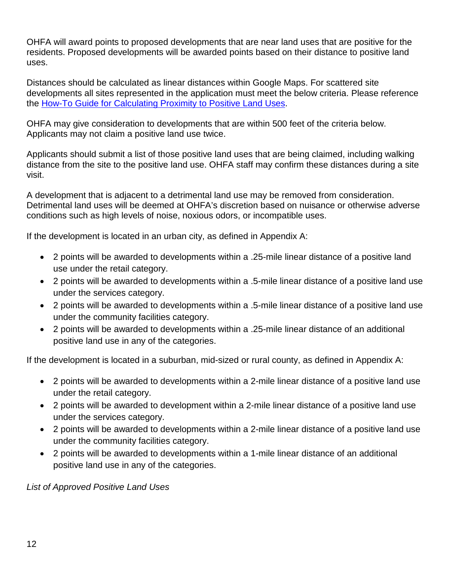OHFA will award points to proposed developments that are near land uses that are positive for the residents. Proposed developments will be awarded points based on their distance to positive land uses.

Distances should be calculated as linear distances within Google Maps. For scattered site developments all sites represented in the application must meet the below criteria. Please reference the [How-To Guide for Calculating Proximity to Positive](https://ohiohome.org/lihtc/LandRadiusGuide.pdf) Land Uses.

OHFA may give consideration to developments that are within 500 feet of the criteria below. Applicants may not claim a positive land use twice.

Applicants should submit a list of those positive land uses that are being claimed, including walking distance from the site to the positive land use. OHFA staff may confirm these distances during a site visit.

A development that is adjacent to a detrimental land use may be removed from consideration. Detrimental land uses will be deemed at OHFA's discretion based on nuisance or otherwise adverse conditions such as high levels of noise, noxious odors, or incompatible uses.

If the development is located in an urban city, as defined in Appendix A:

- 2 points will be awarded to developments within a .25-mile linear distance of a positive land use under the retail category.
- 2 points will be awarded to developments within a .5-mile linear distance of a positive land use under the services category.
- 2 points will be awarded to developments within a .5-mile linear distance of a positive land use under the community facilities category.
- 2 points will be awarded to developments within a .25-mile linear distance of an additional positive land use in any of the categories.

If the development is located in a suburban, mid-sized or rural county, as defined in Appendix A:

- 2 points will be awarded to developments within a 2-mile linear distance of a positive land use under the retail category.
- 2 points will be awarded to development within a 2-mile linear distance of a positive land use under the services category.
- 2 points will be awarded to developments within a 2-mile linear distance of a positive land use under the community facilities category.
- 2 points will be awarded to developments within a 1-mile linear distance of an additional positive land use in any of the categories.

*List of Approved Positive Land Uses*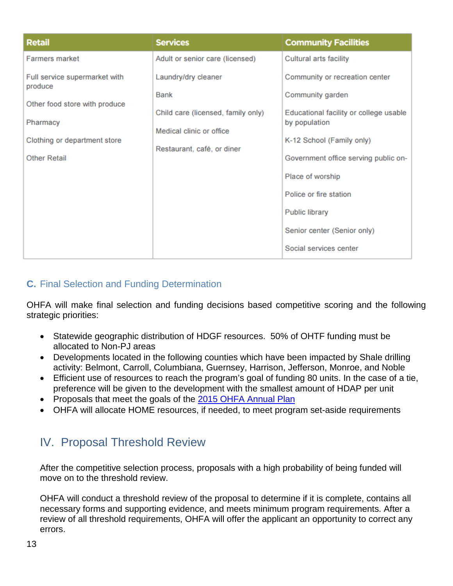| <b>Retail</b>                            | <b>Services</b>                    | <b>Community Facilities</b>            |
|------------------------------------------|------------------------------------|----------------------------------------|
| <b>Farmers market</b>                    | Adult or senior care (licensed)    | <b>Cultural arts facility</b>          |
| Full service supermarket with<br>produce | Laundry/dry cleaner                | Community or recreation center         |
|                                          | <b>Bank</b>                        | Community garden                       |
| Other food store with produce            | Child care (licensed, family only) | Educational facility or college usable |
| Pharmacy                                 | Medical clinic or office           | by population                          |
| Clothing or department store             | Restaurant, café, or diner         | K-12 School (Family only)              |
| Other Retail                             |                                    | Government office serving public on-   |
|                                          |                                    | Place of worship                       |
|                                          |                                    | Police or fire station                 |
|                                          |                                    | <b>Public library</b>                  |
|                                          |                                    | Senior center (Senior only)            |
|                                          |                                    | Social services center                 |

#### <span id="page-14-0"></span>**C.** Final Selection and Funding Determination

OHFA will make final selection and funding decisions based competitive scoring and the following strategic priorities:

- Statewide geographic distribution of HDGF resources. 50% of OHTF funding must be allocated to Non-PJ areas
- Developments located in the following counties which have been impacted by Shale drilling activity: Belmont, Carroll, Columbiana, Guernsey, Harrison, Jefferson, Monroe, and Noble
- Efficient use of resources to reach the program's goal of funding 80 units. In the case of a tie, preference will be given to the development with the smallest amount of HDAP per unit
- Proposals that meet the goals of the [2015 OHFA Annual Plan](https://ohiohome.org/annualplan2015.pdf)
- OHFA will allocate HOME resources, if needed, to meet program set-aside requirements

# <span id="page-14-1"></span>IV. Proposal Threshold Review

After the competitive selection process, proposals with a high probability of being funded will move on to the threshold review.

OHFA will conduct a threshold review of the proposal to determine if it is complete, contains all necessary forms and supporting evidence, and meets minimum program requirements. After a review of all threshold requirements, OHFA will offer the applicant an opportunity to correct any errors.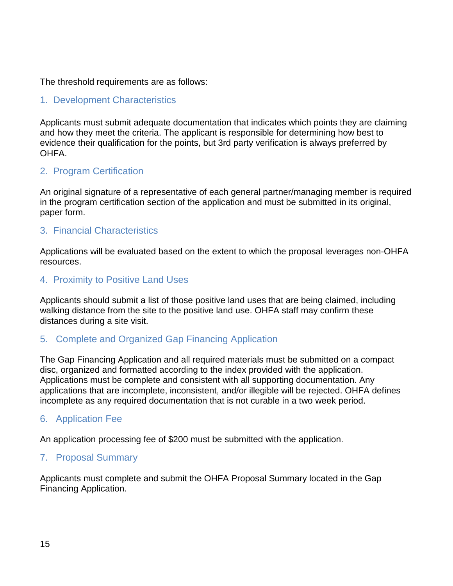The threshold requirements are as follows:

#### <span id="page-15-0"></span>1. Development Characteristics

Applicants must submit adequate documentation that indicates which points they are claiming and how they meet the criteria. The applicant is responsible for determining how best to evidence their qualification for the points, but 3rd party verification is always preferred by OHFA.

#### <span id="page-15-1"></span>2. Program Certification

An original signature of a representative of each general partner/managing member is required in the program certification section of the application and must be submitted in its original, paper form.

#### <span id="page-15-2"></span>3. Financial Characteristics

Applications will be evaluated based on the extent to which the proposal leverages non-OHFA resources.

#### <span id="page-15-3"></span>4. Proximity to Positive Land Uses

Applicants should submit a list of those positive land uses that are being claimed, including walking distance from the site to the positive land use. OHFA staff may confirm these distances during a site visit.

#### <span id="page-15-4"></span>5. Complete and Organized Gap Financing Application

The Gap Financing Application and all required materials must be submitted on a compact disc, organized and formatted according to the index provided with the application. Applications must be complete and consistent with all supporting documentation. Any applications that are incomplete, inconsistent, and/or illegible will be rejected. OHFA defines incomplete as any required documentation that is not curable in a two week period.

#### <span id="page-15-5"></span>6. Application Fee

An application processing fee of \$200 must be submitted with the application.

#### <span id="page-15-6"></span>7. Proposal Summary

Applicants must complete and submit the OHFA Proposal Summary located in the Gap Financing Application.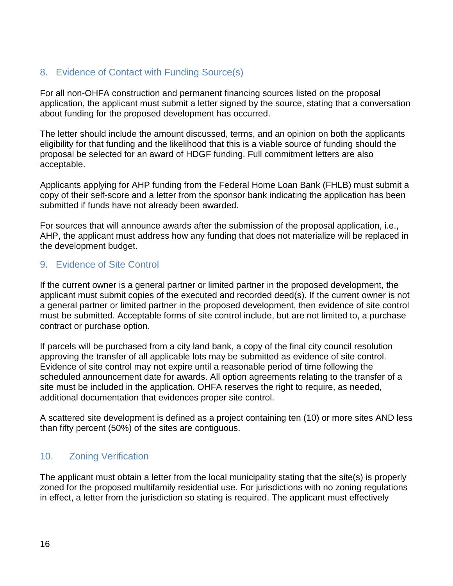#### <span id="page-16-0"></span>8. Evidence of Contact with Funding Source(s)

For all non-OHFA construction and permanent financing sources listed on the proposal application, the applicant must submit a letter signed by the source, stating that a conversation about funding for the proposed development has occurred.

The letter should include the amount discussed, terms, and an opinion on both the applicants eligibility for that funding and the likelihood that this is a viable source of funding should the proposal be selected for an award of HDGF funding. Full commitment letters are also acceptable.

Applicants applying for AHP funding from the Federal Home Loan Bank (FHLB) must submit a copy of their self-score and a letter from the sponsor bank indicating the application has been submitted if funds have not already been awarded.

For sources that will announce awards after the submission of the proposal application, i.e., AHP, the applicant must address how any funding that does not materialize will be replaced in the development budget.

#### <span id="page-16-1"></span>9. Evidence of Site Control

If the current owner is a general partner or limited partner in the proposed development, the applicant must submit copies of the executed and recorded deed(s). If the current owner is not a general partner or limited partner in the proposed development, then evidence of site control must be submitted. Acceptable forms of site control include, but are not limited to, a purchase contract or purchase option.

If parcels will be purchased from a city land bank, a copy of the final city council resolution approving the transfer of all applicable lots may be submitted as evidence of site control. Evidence of site control may not expire until a reasonable period of time following the scheduled announcement date for awards. All option agreements relating to the transfer of a site must be included in the application. OHFA reserves the right to require, as needed, additional documentation that evidences proper site control.

A scattered site development is defined as a project containing ten (10) or more sites AND less than fifty percent (50%) of the sites are contiguous.

#### <span id="page-16-2"></span>10. Zoning Verification

The applicant must obtain a letter from the local municipality stating that the site(s) is properly zoned for the proposed multifamily residential use. For jurisdictions with no zoning regulations in effect, a letter from the jurisdiction so stating is required. The applicant must effectively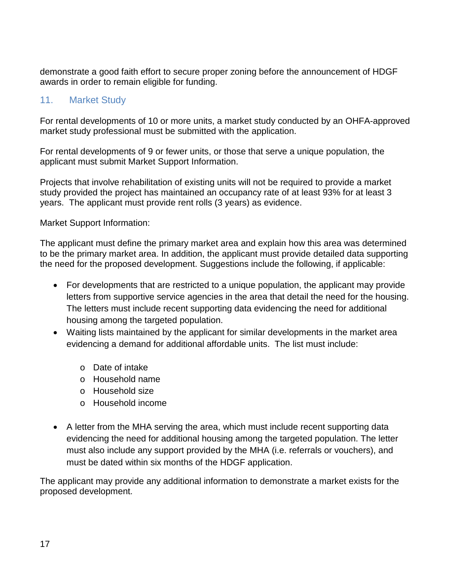demonstrate a good faith effort to secure proper zoning before the announcement of HDGF awards in order to remain eligible for funding.

#### <span id="page-17-0"></span>11. Market Study

For rental developments of 10 or more units, a market study conducted by an OHFA-approved market study professional must be submitted with the application.

For rental developments of 9 or fewer units, or those that serve a unique population, the applicant must submit Market Support Information.

Projects that involve rehabilitation of existing units will not be required to provide a market study provided the project has maintained an occupancy rate of at least 93% for at least 3 years. The applicant must provide rent rolls (3 years) as evidence.

Market Support Information:

The applicant must define the primary market area and explain how this area was determined to be the primary market area. In addition, the applicant must provide detailed data supporting the need for the proposed development. Suggestions include the following, if applicable:

- For developments that are restricted to a unique population, the applicant may provide letters from supportive service agencies in the area that detail the need for the housing. The letters must include recent supporting data evidencing the need for additional housing among the targeted population.
- Waiting lists maintained by the applicant for similar developments in the market area evidencing a demand for additional affordable units. The list must include:
	- o Date of intake
	- o Household name
	- o Household size
	- o Household income
- A letter from the MHA serving the area, which must include recent supporting data evidencing the need for additional housing among the targeted population. The letter must also include any support provided by the MHA (i.e. referrals or vouchers), and must be dated within six months of the HDGF application.

The applicant may provide any additional information to demonstrate a market exists for the proposed development.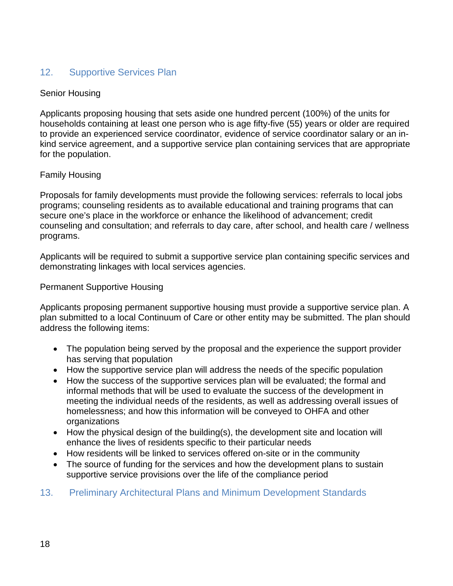#### <span id="page-18-0"></span>12. Supportive Services Plan

#### Senior Housing

Applicants proposing housing that sets aside one hundred percent (100%) of the units for households containing at least one person who is age fifty-five (55) years or older are required to provide an experienced service coordinator, evidence of service coordinator salary or an inkind service agreement, and a supportive service plan containing services that are appropriate for the population.

#### Family Housing

Proposals for family developments must provide the following services: referrals to local jobs programs; counseling residents as to available educational and training programs that can secure one's place in the workforce or enhance the likelihood of advancement; credit counseling and consultation; and referrals to day care, after school, and health care / wellness programs.

Applicants will be required to submit a supportive service plan containing specific services and demonstrating linkages with local services agencies.

#### Permanent Supportive Housing

Applicants proposing permanent supportive housing must provide a supportive service plan. A plan submitted to a local Continuum of Care or other entity may be submitted. The plan should address the following items:

- The population being served by the proposal and the experience the support provider has serving that population
- How the supportive service plan will address the needs of the specific population
- How the success of the supportive services plan will be evaluated; the formal and informal methods that will be used to evaluate the success of the development in meeting the individual needs of the residents, as well as addressing overall issues of homelessness; and how this information will be conveyed to OHFA and other organizations
- How the physical design of the building(s), the development site and location will enhance the lives of residents specific to their particular needs
- How residents will be linked to services offered on-site or in the community
- <span id="page-18-1"></span>The source of funding for the services and how the development plans to sustain supportive service provisions over the life of the compliance period
- 13. Preliminary Architectural Plans and Minimum Development Standards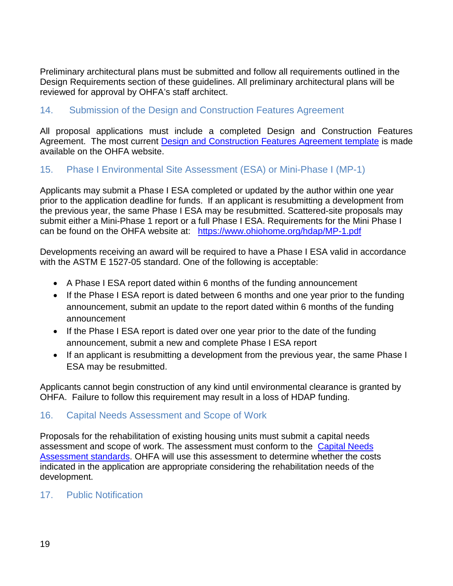Preliminary architectural plans must be submitted and follow all requirements outlined in the Design Requirements section of these guidelines. All preliminary architectural plans will be reviewed for approval by OHFA's staff architect.

#### <span id="page-19-0"></span>14. Submission of the Design and Construction Features Agreement

All proposal applications must include a completed Design and Construction Features Agreement. The most current **Design and Construction Features Agreement template** is made available on the OHFA website.

#### <span id="page-19-1"></span>15. Phase I Environmental Site Assessment (ESA) or Mini-Phase I (MP-1)

Applicants may submit a Phase I ESA completed or updated by the author within one year prior to the application deadline for funds. If an applicant is resubmitting a development from the previous year, the same Phase I ESA may be resubmitted. Scattered-site proposals may submit either a Mini-Phase 1 report or a full Phase I ESA. Requirements for the Mini Phase I can be found on the OHFA website at: <https://www.ohiohome.org/hdap/MP-1.pdf>

Developments receiving an award will be required to have a Phase I ESA valid in accordance with the ASTM E 1527-05 standard. One of the following is acceptable:

- A Phase I ESA report dated within 6 months of the funding announcement
- If the Phase I ESA report is dated between 6 months and one year prior to the funding announcement, submit an update to the report dated within 6 months of the funding announcement
- If the Phase I ESA report is dated over one year prior to the date of the funding announcement, submit a new and complete Phase I ESA report
- If an applicant is resubmitting a development from the previous year, the same Phase I ESA may be resubmitted.

Applicants cannot begin construction of any kind until environmental clearance is granted by OHFA. Failure to follow this requirement may result in a loss of HDAP funding.

#### <span id="page-19-2"></span>16. Capital Needs Assessment and Scope of Work

Proposals for the rehabilitation of existing housing units must submit a capital needs assessment and scope of work. The assessment must conform to the [Capital Needs](https://ohiohome.org/lihtc/CapitalNeeds.pdf)  [Assessment standards.](https://ohiohome.org/lihtc/CapitalNeeds.pdf) OHFA will use this assessment to determine whether the costs indicated in the application are appropriate considering the rehabilitation needs of the development.

#### <span id="page-19-3"></span>17. Public Notification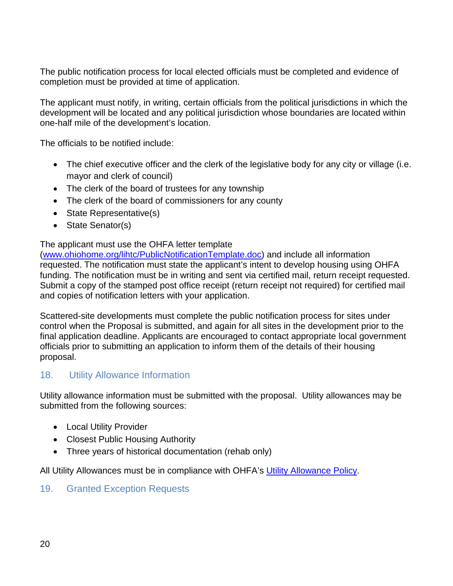The public notification process for local elected officials must be completed and evidence of completion must be provided at time of application.

The applicant must notify, in writing, certain officials from the political jurisdictions in which the development will be located and any political jurisdiction whose boundaries are located within one-half mile of the development's location.

The officials to be notified include:

- The chief executive officer and the clerk of the legislative body for any city or village (i.e. mayor and clerk of council)
- The clerk of the board of trustees for any township
- The clerk of the board of commissioners for any county
- State Representative(s)
- State Senator(s)

#### The applicant must use the OHFA letter template

[\(www.ohiohome.org/lihtc/PublicNotificationTemplate.doc\)](http://www.ohiohome.org/lihtc/PublicNotificationTemplate.doc) and include all information requested. The notification must state the applicant's intent to develop housing using OHFA funding. The notification must be in writing and sent via certified mail, return receipt requested. Submit a copy of the stamped post office receipt (return receipt not required) for certified mail and copies of notification letters with your application.

Scattered-site developments must complete the public notification process for sites under control when the Proposal is submitted, and again for all sites in the development prior to the final application deadline. Applicants are encouraged to contact appropriate local government officials prior to submitting an application to inform them of the details of their housing proposal.

#### <span id="page-20-0"></span>18. Utility Allowance Information

Utility allowance information must be submitted with the proposal. Utility allowances may be submitted from the following sources:

- Local Utility Provider
- Closest Public Housing Authority
- Three years of historical documentation (rehab only)

All Utility Allowances must be in compliance with OHFA's [Utility Allowance Policy.](https://ohiohome.org/compliance/utilityallowance.aspx)

#### <span id="page-20-1"></span>19. Granted Exception Requests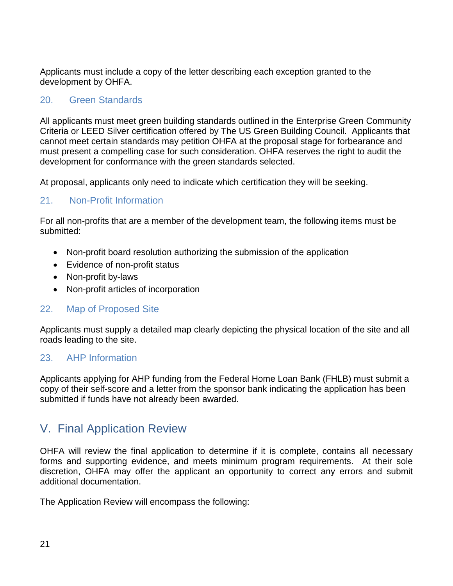Applicants must include a copy of the letter describing each exception granted to the development by OHFA.

#### <span id="page-21-0"></span>20. Green Standards

All applicants must meet green building standards outlined in the Enterprise Green Community Criteria or LEED Silver certification offered by The US Green Building Council. Applicants that cannot meet certain standards may petition OHFA at the proposal stage for forbearance and must present a compelling case for such consideration. OHFA reserves the right to audit the development for conformance with the green standards selected.

At proposal, applicants only need to indicate which certification they will be seeking.

#### <span id="page-21-1"></span>21. Non-Profit Information

For all non-profits that are a member of the development team, the following items must be submitted:

- Non-profit board resolution authorizing the submission of the application
- Evidence of non-profit status
- Non-profit by-laws
- Non-profit articles of incorporation

#### <span id="page-21-2"></span>22. Map of Proposed Site

Applicants must supply a detailed map clearly depicting the physical location of the site and all roads leading to the site.

#### <span id="page-21-3"></span>23. AHP Information

Applicants applying for AHP funding from the Federal Home Loan Bank (FHLB) must submit a copy of their self-score and a letter from the sponsor bank indicating the application has been submitted if funds have not already been awarded.

## <span id="page-21-4"></span>V. Final Application Review

OHFA will review the final application to determine if it is complete, contains all necessary forms and supporting evidence, and meets minimum program requirements. At their sole discretion, OHFA may offer the applicant an opportunity to correct any errors and submit additional documentation.

The Application Review will encompass the following: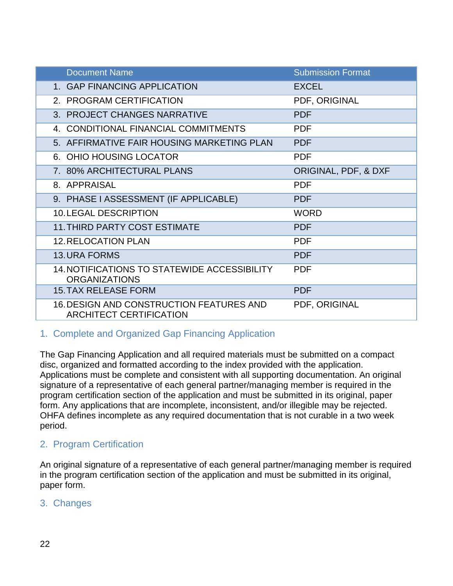| <b>Document Name</b>                                                              | <b>Submission Format</b> |
|-----------------------------------------------------------------------------------|--------------------------|
| 1. GAP FINANCING APPLICATION                                                      | <b>EXCEL</b>             |
| 2. PROGRAM CERTIFICATION                                                          | PDF, ORIGINAL            |
| 3. PROJECT CHANGES NARRATIVE                                                      | <b>PDF</b>               |
| 4. CONDITIONAL FINANCIAL COMMITMENTS                                              | <b>PDF</b>               |
| 5. AFFIRMATIVE FAIR HOUSING MARKETING PLAN                                        | <b>PDF</b>               |
| 6. OHIO HOUSING LOCATOR                                                           | <b>PDF</b>               |
| 7. 80% ARCHITECTURAL PLANS                                                        | ORIGINAL, PDF, & DXF     |
| 8. APPRAISAL                                                                      | <b>PDF</b>               |
| 9. PHASE I ASSESSMENT (IF APPLICABLE)                                             | <b>PDF</b>               |
| <b>10. LEGAL DESCRIPTION</b>                                                      | <b>WORD</b>              |
| <b>11. THIRD PARTY COST ESTIMATE</b>                                              | <b>PDF</b>               |
| <b>12. RELOCATION PLAN</b>                                                        | <b>PDF</b>               |
| <b>13. URA FORMS</b>                                                              | <b>PDF</b>               |
| 14. NOTIFICATIONS TO STATEWIDE ACCESSIBILITY<br><b>ORGANIZATIONS</b>              | <b>PDF</b>               |
| <b>15. TAX RELEASE FORM</b>                                                       | <b>PDF</b>               |
| <b>16. DESIGN AND CONSTRUCTION FEATURES AND</b><br><b>ARCHITECT CERTIFICATION</b> | PDF, ORIGINAL            |

#### <span id="page-22-0"></span>1. Complete and Organized Gap Financing Application

The Gap Financing Application and all required materials must be submitted on a compact disc, organized and formatted according to the index provided with the application. Applications must be complete and consistent with all supporting documentation. An original signature of a representative of each general partner/managing member is required in the program certification section of the application and must be submitted in its original, paper form. Any applications that are incomplete, inconsistent, and/or illegible may be rejected. OHFA defines incomplete as any required documentation that is not curable in a two week period.

#### <span id="page-22-1"></span>2. Program Certification

An original signature of a representative of each general partner/managing member is required in the program certification section of the application and must be submitted in its original, paper form.

#### <span id="page-22-2"></span>3. Changes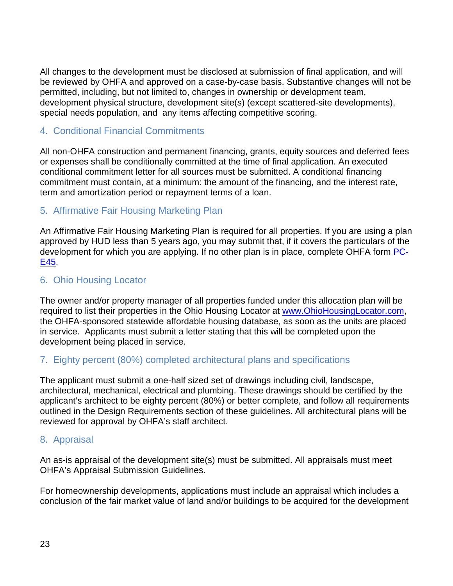All changes to the development must be disclosed at submission of final application, and will be reviewed by OHFA and approved on a case-by-case basis. Substantive changes will not be permitted, including, but not limited to, changes in ownership or development team, development physical structure, development site(s) (except scattered-site developments), special needs population, and any items affecting competitive scoring.

#### <span id="page-23-0"></span>4. Conditional Financial Commitments

All non-OHFA construction and permanent financing, grants, equity sources and deferred fees or expenses shall be conditionally committed at the time of final application. An executed conditional commitment letter for all sources must be submitted. A conditional financing commitment must contain, at a minimum: the amount of the financing, and the interest rate, term and amortization period or repayment terms of a loan.

#### <span id="page-23-1"></span>5. Affirmative Fair Housing Marketing Plan

An Affirmative Fair Housing Marketing Plan is required for all properties. If you are using a plan approved by HUD less than 5 years ago, you may submit that, if it covers the particulars of the development for which you are applying. If no other plan is in place, complete OHFA form **PC-**[E45.](mailto:https://www.ohiohome.org/compliance/PC-E45-AFHMP.pdf?subject=Affirmative%20Fair%20Housing%20Marketing%20Plan)

#### <span id="page-23-2"></span>6. Ohio Housing Locator

The owner and/or property manager of all properties funded under this allocation plan will be required to list their properties in the Ohio Housing Locator at [www.OhioHousingLocator.com,](http://www.ohiohousinglocator.com/) the OHFA-sponsored statewide affordable housing database, as soon as the units are placed in service. Applicants must submit a letter stating that this will be completed upon the development being placed in service.

#### <span id="page-23-3"></span>7. Eighty percent (80%) completed architectural plans and specifications

The applicant must submit a one-half sized set of drawings including civil, landscape, architectural, mechanical, electrical and plumbing. These drawings should be certified by the applicant's architect to be eighty percent (80%) or better complete, and follow all requirements outlined in the Design Requirements section of these guidelines. All architectural plans will be reviewed for approval by OHFA's staff architect.

#### <span id="page-23-4"></span>8. Appraisal

An as-is appraisal of the development site(s) must be submitted. All appraisals must meet OHFA's Appraisal Submission Guidelines.

For homeownership developments, applications must include an appraisal which includes a conclusion of the fair market value of land and/or buildings to be acquired for the development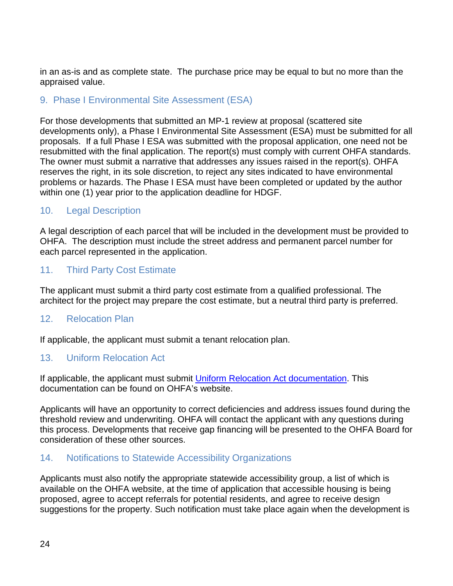in an as-is and as complete state. The purchase price may be equal to but no more than the appraised value.

#### <span id="page-24-0"></span>9. Phase I Environmental Site Assessment (ESA)

For those developments that submitted an MP-1 review at proposal (scattered site developments only), a Phase I Environmental Site Assessment (ESA) must be submitted for all proposals. If a full Phase I ESA was submitted with the proposal application, one need not be resubmitted with the final application. The report(s) must comply with current OHFA standards. The owner must submit a narrative that addresses any issues raised in the report(s). OHFA reserves the right, in its sole discretion, to reject any sites indicated to have environmental problems or hazards. The Phase I ESA must have been completed or updated by the author within one (1) year prior to the application deadline for HDGF.

#### <span id="page-24-1"></span>10. Legal Description

A legal description of each parcel that will be included in the development must be provided to OHFA. The description must include the street address and permanent parcel number for each parcel represented in the application.

#### <span id="page-24-2"></span>11. Third Party Cost Estimate

The applicant must submit a third party cost estimate from a qualified professional. The architect for the project may prepare the cost estimate, but a neutral third party is preferred.

#### <span id="page-24-3"></span>12. Relocation Plan

If applicable, the applicant must submit a tenant relocation plan.

#### <span id="page-24-4"></span>13. Uniform Relocation Act

If applicable, the applicant must submit [Uniform Relocation Act documentation.](http://ohiohome.org/lihtc/standardforms.aspx) This documentation can be found on OHFA's website.

Applicants will have an opportunity to correct deficiencies and address issues found during the threshold review and underwriting. OHFA will contact the applicant with any questions during this process. Developments that receive gap financing will be presented to the OHFA Board for consideration of these other sources.

#### <span id="page-24-5"></span>14. Notifications to Statewide Accessibility Organizations

Applicants must also notify the appropriate statewide accessibility group, a list of which is available on the OHFA website, at the time of application that accessible housing is being proposed, agree to accept referrals for potential residents, and agree to receive design suggestions for the property. Such notification must take place again when the development is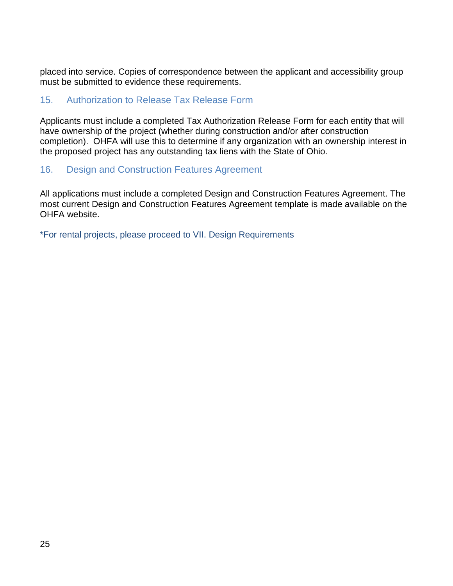placed into service. Copies of correspondence between the applicant and accessibility group must be submitted to evidence these requirements.

#### <span id="page-25-0"></span>15. Authorization to Release Tax Release Form

Applicants must include a completed Tax Authorization Release Form for each entity that will have ownership of the project (whether during construction and/or after construction completion). OHFA will use this to determine if any organization with an ownership interest in the proposed project has any outstanding tax liens with the State of Ohio.

#### <span id="page-25-1"></span>16. Design and Construction Features Agreement

All applications must include a completed Design and Construction Features Agreement. The most current Design and Construction Features Agreement template is made available on the OHFA website.

\*For rental projects, please proceed to VII. Design Requirements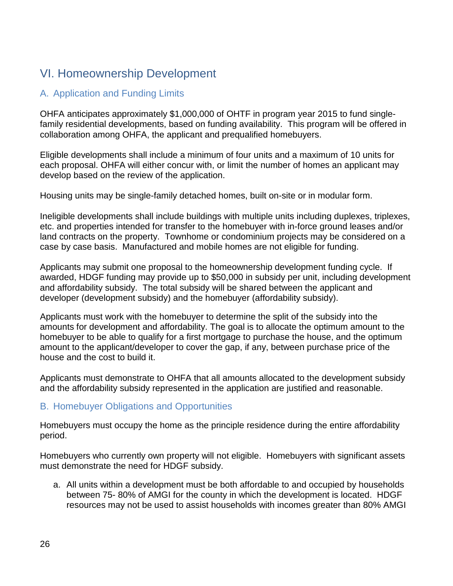# VI. Homeownership Development

#### <span id="page-26-0"></span>A. Application and Funding Limits

OHFA anticipates approximately \$1,000,000 of OHTF in program year 2015 to fund singlefamily residential developments, based on funding availability. This program will be offered in collaboration among OHFA, the applicant and prequalified homebuyers.

Eligible developments shall include a minimum of four units and a maximum of 10 units for each proposal. OHFA will either concur with, or limit the number of homes an applicant may develop based on the review of the application.

Housing units may be single-family detached homes, built on-site or in modular form.

Ineligible developments shall include buildings with multiple units including duplexes, triplexes, etc. and properties intended for transfer to the homebuyer with in-force ground leases and/or land contracts on the property. Townhome or condominium projects may be considered on a case by case basis. Manufactured and mobile homes are not eligible for funding.

Applicants may submit one proposal to the homeownership development funding cycle. If awarded, HDGF funding may provide up to \$50,000 in subsidy per unit, including development and affordability subsidy. The total subsidy will be shared between the applicant and developer (development subsidy) and the homebuyer (affordability subsidy).

Applicants must work with the homebuyer to determine the split of the subsidy into the amounts for development and affordability. The goal is to allocate the optimum amount to the homebuyer to be able to qualify for a first mortgage to purchase the house, and the optimum amount to the applicant/developer to cover the gap, if any, between purchase price of the house and the cost to build it.

Applicants must demonstrate to OHFA that all amounts allocated to the development subsidy and the affordability subsidy represented in the application are justified and reasonable.

#### <span id="page-26-1"></span>B. Homebuyer Obligations and Opportunities

Homebuyers must occupy the home as the principle residence during the entire affordability period.

Homebuyers who currently own property will not eligible. Homebuyers with significant assets must demonstrate the need for HDGF subsidy.

a. All units within a development must be both affordable to and occupied by households between 75- 80% of AMGI for the county in which the development is located. HDGF resources may not be used to assist households with incomes greater than 80% AMGI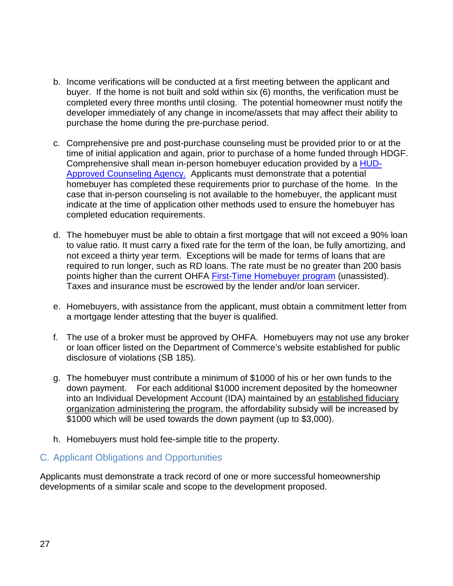- b. Income verifications will be conducted at a first meeting between the applicant and buyer. If the home is not built and sold within six (6) months, the verification must be completed every three months until closing. The potential homeowner must notify the developer immediately of any change in income/assets that may affect their ability to purchase the home during the pre-purchase period.
- c. Comprehensive pre and post-purchase counseling must be provided prior to or at the time of initial application and again, prior to purchase of a home funded through HDGF. Comprehensive shall mean in-person homebuyer education provided by a [HUD-](http://www.hud.gov/offices/hsg/sfh/hcc/hcs.cfm?&webListAction=search&searchstate=OH)[Approved Counseling Agency.](http://www.hud.gov/offices/hsg/sfh/hcc/hcs.cfm?&webListAction=search&searchstate=OH) Applicants must demonstrate that a potential homebuyer has completed these requirements prior to purchase of the home. In the case that in-person counseling is not available to the homebuyer, the applicant must indicate at the time of application other methods used to ensure the homebuyer has completed education requirements.
- d. The homebuyer must be able to obtain a first mortgage that will not exceed a 90% loan to value ratio. It must carry a fixed rate for the term of the loan, be fully amortizing, and not exceed a thirty year term. Exceptions will be made for terms of loans that are required to run longer, such as RD loans. The rate must be no greater than 200 basis points higher than the current OHFA [First-Time Homebuyer program](https://ohiohome.org/homebuyer/rates.aspx) (unassisted). Taxes and insurance must be escrowed by the lender and/or loan servicer.
- e. Homebuyers, with assistance from the applicant, must obtain a commitment letter from a mortgage lender attesting that the buyer is qualified.
- f. The use of a broker must be approved by OHFA. Homebuyers may not use any broker or loan officer listed on the Department of Commerce's website established for public disclosure of violations (SB 185).
- g. The homebuyer must contribute a minimum of \$1000 of his or her own funds to the down payment. For each additional \$1000 increment deposited by the homeowner into an Individual Development Account (IDA) maintained by an established fiduciary [organization administering the program,](http://www.ohiocdc.org/index.php/what-we-do/programs/idaohio.html) the affordability subsidy will be increased by \$1000 which will be used towards the down payment (up to \$3,000).
- h. Homebuyers must hold fee-simple title to the property.

#### <span id="page-27-0"></span>C. Applicant Obligations and Opportunities

Applicants must demonstrate a track record of one or more successful homeownership developments of a similar scale and scope to the development proposed.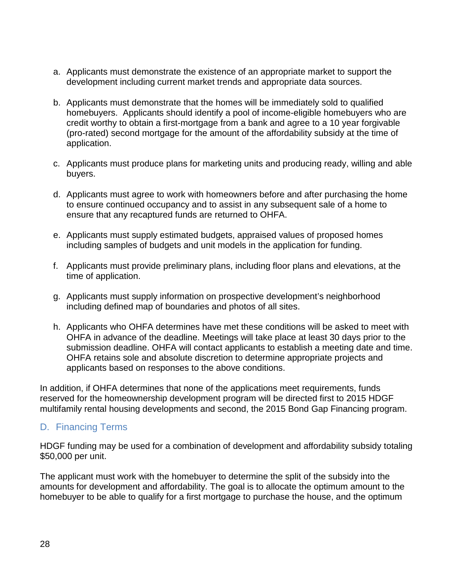- a. Applicants must demonstrate the existence of an appropriate market to support the development including current market trends and appropriate data sources.
- b. Applicants must demonstrate that the homes will be immediately sold to qualified homebuyers. Applicants should identify a pool of income-eligible homebuyers who are credit worthy to obtain a first-mortgage from a bank and agree to a 10 year forgivable (pro-rated) second mortgage for the amount of the affordability subsidy at the time of application.
- c. Applicants must produce plans for marketing units and producing ready, willing and able buyers.
- d. Applicants must agree to work with homeowners before and after purchasing the home to ensure continued occupancy and to assist in any subsequent sale of a home to ensure that any recaptured funds are returned to OHFA.
- e. Applicants must supply estimated budgets, appraised values of proposed homes including samples of budgets and unit models in the application for funding.
- f. Applicants must provide preliminary plans, including floor plans and elevations, at the time of application.
- g. Applicants must supply information on prospective development's neighborhood including defined map of boundaries and photos of all sites.
- h. Applicants who OHFA determines have met these conditions will be asked to meet with OHFA in advance of the deadline. Meetings will take place at least 30 days prior to the submission deadline. OHFA will contact applicants to establish a meeting date and time. OHFA retains sole and absolute discretion to determine appropriate projects and applicants based on responses to the above conditions.

In addition, if OHFA determines that none of the applications meet requirements, funds reserved for the homeownership development program will be directed first to 2015 HDGF multifamily rental housing developments and second, the 2015 Bond Gap Financing program.

#### <span id="page-28-0"></span>D. Financing Terms

HDGF funding may be used for a combination of development and affordability subsidy totaling \$50,000 per unit.

The applicant must work with the homebuyer to determine the split of the subsidy into the amounts for development and affordability. The goal is to allocate the optimum amount to the homebuyer to be able to qualify for a first mortgage to purchase the house, and the optimum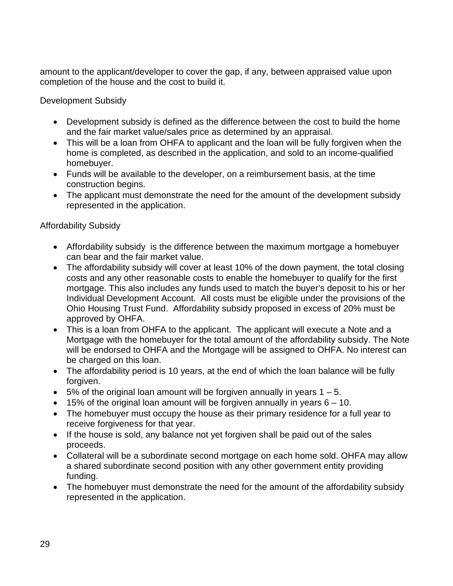amount to the applicant/developer to cover the gap, if any, between appraised value upon completion of the house and the cost to build it.

Development Subsidy

- Development subsidy is defined as the difference between the cost to build the home and the fair market value/sales price as determined by an appraisal.
- This will be a loan from OHFA to applicant and the loan will be fully forgiven when the home is completed, as described in the application, and sold to an income-qualified homebuyer.
- Funds will be available to the developer, on a reimbursement basis, at the time construction begins.
- The applicant must demonstrate the need for the amount of the development subsidy represented in the application.

#### Affordability Subsidy

- Affordability subsidy is the difference between the maximum mortgage a homebuyer can bear and the fair market value.
- The affordability subsidy will cover at least 10% of the down payment, the total closing costs and any other reasonable costs to enable the homebuyer to qualify for the first mortgage. This also includes any funds used to match the buyer's deposit to his or her Individual Development Account. All costs must be eligible under the provisions of the Ohio Housing Trust Fund. Affordability subsidy proposed in excess of 20% must be approved by OHFA.
- This is a loan from OHFA to the applicant. The applicant will execute a Note and a Mortgage with the homebuyer for the total amount of the affordability subsidy. The Note will be endorsed to OHFA and the Mortgage will be assigned to OHFA. No interest can be charged on this loan.
- The affordability period is 10 years, at the end of which the loan balance will be fully forgiven.
- $\bullet$  5% of the original loan amount will be forgiven annually in years 1 5.
- $\bullet$  15% of the original loan amount will be forgiven annually in years  $6 10$ .
- The homebuyer must occupy the house as their primary residence for a full year to receive forgiveness for that year.
- If the house is sold, any balance not yet forgiven shall be paid out of the sales proceeds.
- Collateral will be a subordinate second mortgage on each home sold. OHFA may allow a shared subordinate second position with any other government entity providing funding.
- The homebuyer must demonstrate the need for the amount of the affordability subsidy represented in the application.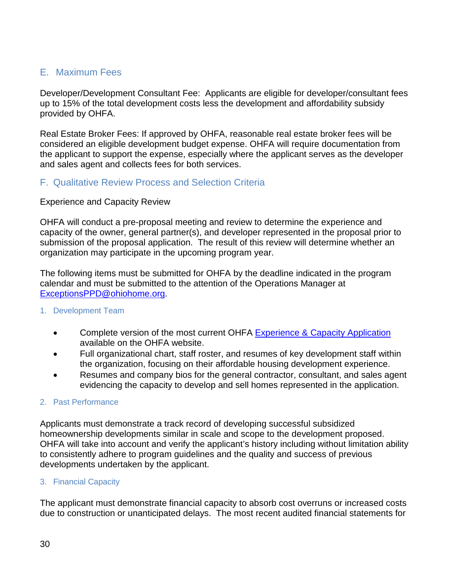#### <span id="page-30-0"></span>E. Maximum Fees

Developer/Development Consultant Fee: Applicants are eligible for developer/consultant fees up to 15% of the total development costs less the development and affordability subsidy provided by OHFA.

Real Estate Broker Fees: If approved by OHFA, reasonable real estate broker fees will be considered an eligible development budget expense. OHFA will require documentation from the applicant to support the expense, especially where the applicant serves as the developer and sales agent and collects fees for both services.

#### <span id="page-30-1"></span>F. Qualitative Review Process and Selection Criteria

#### Experience and Capacity Review

OHFA will conduct a pre-proposal meeting and review to determine the experience and capacity of the owner, general partner(s), and developer represented in the proposal prior to submission of the proposal application. The result of this review will determine whether an organization may participate in the upcoming program year.

The following items must be submitted for OHFA by the deadline indicated in the program calendar and must be submitted to the attention of the Operations Manager at [ExceptionsPPD@ohiohome.org.](mailto:ExceptionsPPD@ohiohome.org)

#### <span id="page-30-2"></span>1. Development Team

- Complete version of the most current OHFA [Experience & Capacity Application](https://www.google.com/url?q=https://ohiohome.org/hdap/14ExperienceCapacityForm.xlsx&sa=U&ei=gZdHVfb8DdW4ogT-6YDQCQ&ved=0CAQQFjAA&client=internal-uds-cse&usg=AFQjCNECKL9l9QtexMs7oKALnFgNgWJmPA) available on the OHFA website.
- Full organizational chart, staff roster, and resumes of key development staff within the organization, focusing on their affordable housing development experience.
- Resumes and company bios for the general contractor, consultant, and sales agent evidencing the capacity to develop and sell homes represented in the application.

#### <span id="page-30-3"></span>2. Past Performance

Applicants must demonstrate a track record of developing successful subsidized homeownership developments similar in scale and scope to the development proposed. OHFA will take into account and verify the applicant's history including without limitation ability to consistently adhere to program guidelines and the quality and success of previous developments undertaken by the applicant.

#### <span id="page-30-4"></span>3. Financial Capacity

The applicant must demonstrate financial capacity to absorb cost overruns or increased costs due to construction or unanticipated delays. The most recent audited financial statements for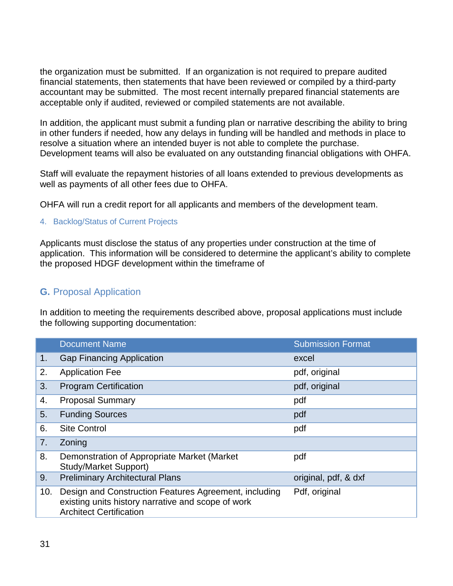the organization must be submitted. If an organization is not required to prepare audited financial statements, then statements that have been reviewed or compiled by a third-party accountant may be submitted. The most recent internally prepared financial statements are acceptable only if audited, reviewed or compiled statements are not available.

In addition, the applicant must submit a funding plan or narrative describing the ability to bring in other funders if needed, how any delays in funding will be handled and methods in place to resolve a situation where an intended buyer is not able to complete the purchase. Development teams will also be evaluated on any outstanding financial obligations with OHFA.

Staff will evaluate the repayment histories of all loans extended to previous developments as well as payments of all other fees due to OHFA.

OHFA will run a credit report for all applicants and members of the development team.

#### <span id="page-31-0"></span>4. Backlog/Status of Current Projects

Applicants must disclose the status of any properties under construction at the time of application. This information will be considered to determine the applicant's ability to complete the proposed HDGF development within the timeframe of

#### <span id="page-31-1"></span>**G.** Proposal Application

In addition to meeting the requirements described above, proposal applications must include the following supporting documentation:

|     | <b>Document Name</b>                                                                                                                          | <b>Submission Format</b> |
|-----|-----------------------------------------------------------------------------------------------------------------------------------------------|--------------------------|
| 1.  | <b>Gap Financing Application</b>                                                                                                              | excel                    |
| 2.  | <b>Application Fee</b>                                                                                                                        | pdf, original            |
| 3.  | <b>Program Certification</b>                                                                                                                  | pdf, original            |
| 4.  | <b>Proposal Summary</b>                                                                                                                       | pdf                      |
| 5.  | <b>Funding Sources</b>                                                                                                                        | pdf                      |
| 6.  | <b>Site Control</b>                                                                                                                           | pdf                      |
| 7.  | Zoning                                                                                                                                        |                          |
| 8.  | Demonstration of Appropriate Market (Market<br><b>Study/Market Support)</b>                                                                   | pdf                      |
| 9.  | <b>Preliminary Architectural Plans</b>                                                                                                        | original, pdf, & dxf     |
| 10. | Design and Construction Features Agreement, including<br>existing units history narrative and scope of work<br><b>Architect Certification</b> | Pdf, original            |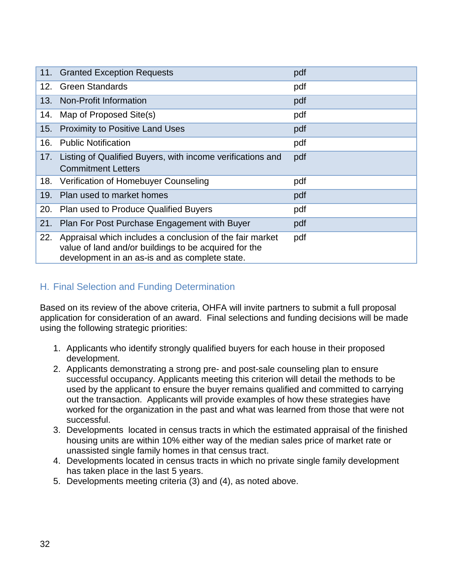|     | 11. Granted Exception Requests                                                                                                                                      | pdf |
|-----|---------------------------------------------------------------------------------------------------------------------------------------------------------------------|-----|
|     | 12. Green Standards                                                                                                                                                 | pdf |
| 13. | Non-Profit Information                                                                                                                                              | pdf |
| 14. | Map of Proposed Site(s)                                                                                                                                             | pdf |
| 15. | <b>Proximity to Positive Land Uses</b>                                                                                                                              | pdf |
| 16. | <b>Public Notification</b>                                                                                                                                          | pdf |
| 17. | Listing of Qualified Buyers, with income verifications and                                                                                                          | pdf |
|     | <b>Commitment Letters</b>                                                                                                                                           |     |
|     | 18. Verification of Homebuyer Counseling                                                                                                                            | pdf |
| 19. | Plan used to market homes                                                                                                                                           | pdf |
| 20. | Plan used to Produce Qualified Buyers                                                                                                                               | pdf |
| 21. | Plan For Post Purchase Engagement with Buyer                                                                                                                        | pdf |
| 22. | Appraisal which includes a conclusion of the fair market<br>value of land and/or buildings to be acquired for the<br>development in an as-is and as complete state. | pdf |

#### <span id="page-32-0"></span>H. Final Selection and Funding Determination

Based on its review of the above criteria, OHFA will invite partners to submit a full proposal application for consideration of an award. Final selections and funding decisions will be made using the following strategic priorities:

- 1. Applicants who identify strongly qualified buyers for each house in their proposed development.
- 2. Applicants demonstrating a strong pre- and post-sale counseling plan to ensure successful occupancy. Applicants meeting this criterion will detail the methods to be used by the applicant to ensure the buyer remains qualified and committed to carrying out the transaction. Applicants will provide examples of how these strategies have worked for the organization in the past and what was learned from those that were not successful.
- 3. Developments located in census tracts in which the estimated appraisal of the finished housing units are within 10% either way of the median sales price of market rate or unassisted single family homes in that census tract.
- 4. Developments located in census tracts in which no private single family development has taken place in the last 5 years.
- 5. Developments meeting criteria (3) and (4), as noted above.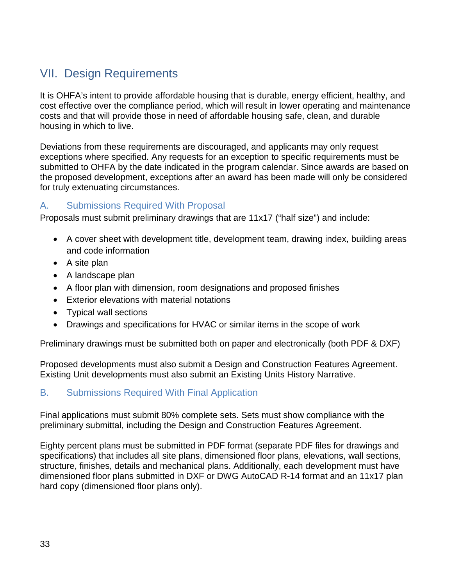# <span id="page-33-0"></span>VII. Design Requirements

It is OHFA's intent to provide affordable housing that is durable, energy efficient, healthy, and cost effective over the compliance period, which will result in lower operating and maintenance costs and that will provide those in need of affordable housing safe, clean, and durable housing in which to live.

Deviations from these requirements are discouraged, and applicants may only request exceptions where specified. Any requests for an exception to specific requirements must be submitted to OHFA by the date indicated in the program calendar. Since awards are based on the proposed development, exceptions after an award has been made will only be considered for truly extenuating circumstances.

#### <span id="page-33-1"></span>A. Submissions Required With Proposal

Proposals must submit preliminary drawings that are 11x17 ("half size") and include:

- A cover sheet with development title, development team, drawing index, building areas and code information
- A site plan
- A landscape plan
- A floor plan with dimension, room designations and proposed finishes
- Exterior elevations with material notations
- Typical wall sections
- Drawings and specifications for HVAC or similar items in the scope of work

Preliminary drawings must be submitted both on paper and electronically (both PDF & DXF)

Proposed developments must also submit a Design and Construction Features Agreement. Existing Unit developments must also submit an Existing Units History Narrative.

#### <span id="page-33-2"></span>B. Submissions Required With Final Application

Final applications must submit 80% complete sets. Sets must show compliance with the preliminary submittal, including the Design and Construction Features Agreement.

Eighty percent plans must be submitted in PDF format (separate PDF files for drawings and specifications) that includes all site plans, dimensioned floor plans, elevations, wall sections, structure, finishes, details and mechanical plans. Additionally, each development must have dimensioned floor plans submitted in DXF or DWG AutoCAD R-14 format and an 11x17 plan hard copy (dimensioned floor plans only).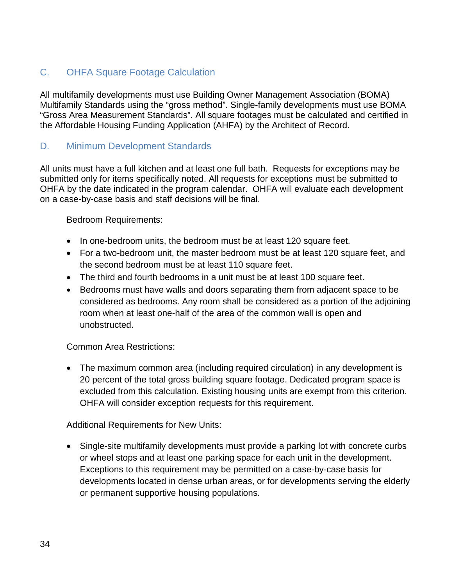#### <span id="page-34-0"></span>C. OHFA Square Footage Calculation

All multifamily developments must use Building Owner Management Association (BOMA) Multifamily Standards using the "gross method". Single-family developments must use BOMA "Gross Area Measurement Standards". All square footages must be calculated and certified in the Affordable Housing Funding Application (AHFA) by the Architect of Record.

#### <span id="page-34-1"></span>D. Minimum Development Standards

All units must have a full kitchen and at least one full bath. Requests for exceptions may be submitted only for items specifically noted. All requests for exceptions must be submitted to OHFA by the date indicated in the program calendar. OHFA will evaluate each development on a case-by-case basis and staff decisions will be final.

<span id="page-34-2"></span>Bedroom Requirements:

- In one-bedroom units, the bedroom must be at least 120 square feet.
- For a two-bedroom unit, the master bedroom must be at least 120 square feet, and the second bedroom must be at least 110 square feet.
- The third and fourth bedrooms in a unit must be at least 100 square feet.
- Bedrooms must have walls and doors separating them from adjacent space to be considered as bedrooms. Any room shall be considered as a portion of the adjoining room when at least one-half of the area of the common wall is open and unobstructed.

#### <span id="page-34-3"></span>Common Area Restrictions:

• The maximum common area (including required circulation) in any development is 20 percent of the total gross building square footage. Dedicated program space is excluded from this calculation. Existing housing units are exempt from this criterion. OHFA will consider exception requests for this requirement.

<span id="page-34-4"></span>Additional Requirements for New Units:

• Single-site multifamily developments must provide a parking lot with concrete curbs or wheel stops and at least one parking space for each unit in the development. Exceptions to this requirement may be permitted on a case-by-case basis for developments located in dense urban areas, or for developments serving the elderly or permanent supportive housing populations.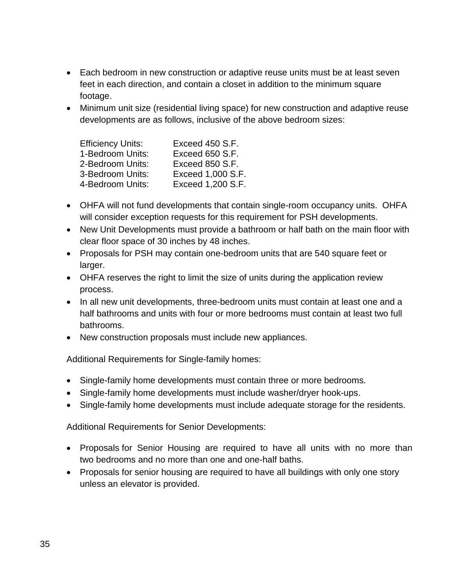- Each bedroom in new construction or adaptive reuse units must be at least seven feet in each direction, and contain a closet in addition to the minimum square footage.
- Minimum unit size (residential living space) for new construction and adaptive reuse developments are as follows, inclusive of the above bedroom sizes:

| Exceed 450 S.F.   |
|-------------------|
| Exceed 650 S.F.   |
| Exceed 850 S.F.   |
| Exceed 1,000 S.F. |
| Exceed 1,200 S.F. |
|                   |

- OHFA will not fund developments that contain single-room occupancy units. OHFA will consider exception requests for this requirement for PSH developments.
- New Unit Developments must provide a bathroom or half bath on the main floor with clear floor space of 30 inches by 48 inches.
- Proposals for PSH may contain one-bedroom units that are 540 square feet or larger.
- OHFA reserves the right to limit the size of units during the application review process.
- In all new unit developments, three-bedroom units must contain at least one and a half bathrooms and units with four or more bedrooms must contain at least two full bathrooms.
- New construction proposals must include new appliances.

<span id="page-35-0"></span>Additional Requirements for Single-family homes:

- Single-family home developments must contain three or more bedrooms.
- Single-family home developments must include washer/dryer hook-ups.
- Single-family home developments must include adequate storage for the residents.

<span id="page-35-1"></span>Additional Requirements for Senior Developments:

- Proposals for Senior Housing are required to have all units with no more than two bedrooms and no more than one and one-half baths.
- Proposals for senior housing are required to have all buildings with only one story unless an elevator is provided.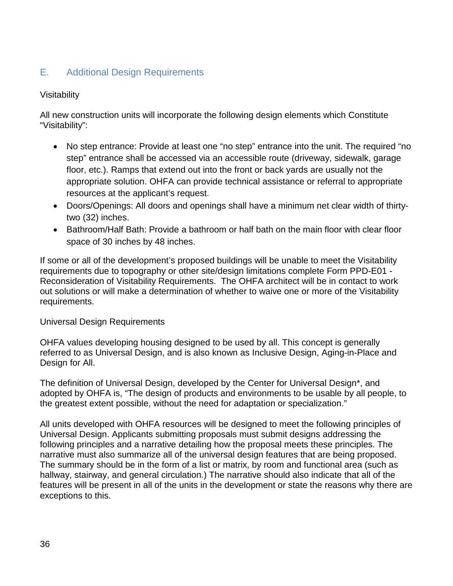#### <span id="page-36-0"></span>E. Additional Design Requirements

#### Visitability

All new construction units will incorporate the following design elements which Constitute "Visitability":

- No step entrance: Provide at least one "no step" entrance into the unit. The required "no step" entrance shall be accessed via an accessible route (driveway, sidewalk, garage floor, etc.). Ramps that extend out into the front or back yards are usually not the appropriate solution. OHFA can provide technical assistance or referral to appropriate resources at the applicant's request.
- Doors/Openings: All doors and openings shall have a minimum net clear width of thirtytwo (32) inches.
- Bathroom/Half Bath: Provide a bathroom or half bath on the main floor with clear floor space of 30 inches by 48 inches.

If some or all of the development's proposed buildings will be unable to meet the Visitability requirements due to topography or other site/design limitations complete Form PPD-E01 - Reconsideration of Visitability Requirements. The OHFA architect will be in contact to work out solutions or will make a determination of whether to waive one or more of the Visitability requirements.

#### Universal Design Requirements

OHFA values developing housing designed to be used by all. This concept is generally referred to as Universal Design, and is also known as Inclusive Design, Aging-in-Place and Design for All.

The definition of Universal Design, developed by the Center for Universal Design\*, and adopted by OHFA is, "The design of products and environments to be usable by all people, to the greatest extent possible, without the need for adaptation or specialization."

All units developed with OHFA resources will be designed to meet the following principles of Universal Design. Applicants submitting proposals must submit designs addressing the following principles and a narrative detailing how the proposal meets these principles. The narrative must also summarize all of the universal design features that are being proposed. The summary should be in the form of a list or matrix, by room and functional area (such as hallway, stairway, and general circulation.) The narrative should also indicate that all of the features will be present in all of the units in the development or state the reasons why there are exceptions to this.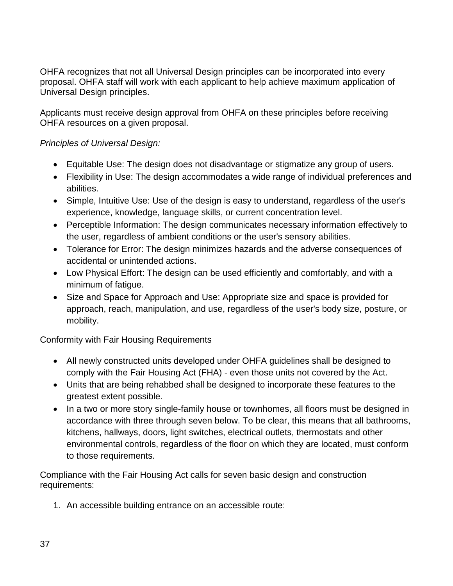OHFA recognizes that not all Universal Design principles can be incorporated into every proposal. OHFA staff will work with each applicant to help achieve maximum application of Universal Design principles.

Applicants must receive design approval from OHFA on these principles before receiving OHFA resources on a given proposal.

#### *Principles of Universal Design:*

- Equitable Use: The design does not disadvantage or stigmatize any group of users.
- Flexibility in Use: The design accommodates a wide range of individual preferences and abilities.
- Simple, Intuitive Use: Use of the design is easy to understand, regardless of the user's experience, knowledge, language skills, or current concentration level.
- Perceptible Information: The design communicates necessary information effectively to the user, regardless of ambient conditions or the user's sensory abilities.
- Tolerance for Error: The design minimizes hazards and the adverse consequences of accidental or unintended actions.
- Low Physical Effort: The design can be used efficiently and comfortably, and with a minimum of fatigue.
- Size and Space for Approach and Use: Appropriate size and space is provided for approach, reach, manipulation, and use, regardless of the user's body size, posture, or mobility.

Conformity with Fair Housing Requirements

- All newly constructed units developed under OHFA guidelines shall be designed to comply with the Fair Housing Act (FHA) - even those units not covered by the Act.
- Units that are being rehabbed shall be designed to incorporate these features to the greatest extent possible.
- In a two or more story single-family house or townhomes, all floors must be designed in accordance with three through seven below. To be clear, this means that all bathrooms, kitchens, hallways, doors, light switches, electrical outlets, thermostats and other environmental controls, regardless of the floor on which they are located, must conform to those requirements.

Compliance with the Fair Housing Act calls for seven basic design and construction requirements:

1. An accessible building entrance on an accessible route: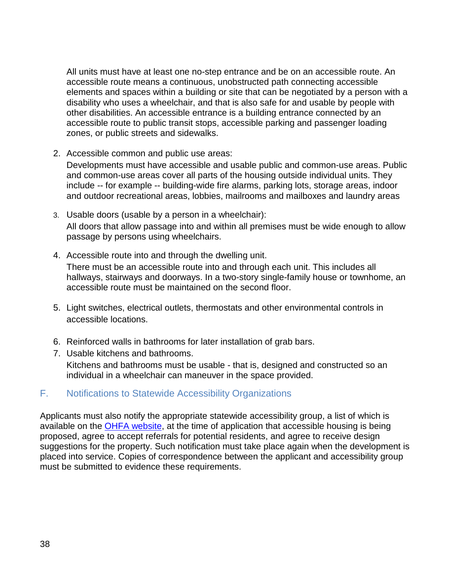All units must have at least one no-step entrance and be on an accessible route. An accessible route means a continuous, unobstructed path connecting accessible elements and spaces within a building or site that can be negotiated by a person with a disability who uses a wheelchair, and that is also safe for and usable by people with other disabilities. An accessible entrance is a building entrance connected by an accessible route to public transit stops, accessible parking and passenger loading zones, or public streets and sidewalks.

- 2. Accessible common and public use areas: Developments must have accessible and usable public and common-use areas. Public and common-use areas cover all parts of the housing outside individual units. They include -- for example -- building-wide fire alarms, parking lots, storage areas, indoor and outdoor recreational areas, lobbies, mailrooms and mailboxes and laundry areas
- 3. Usable doors (usable by a person in a wheelchair): All doors that allow passage into and within all premises must be wide enough to allow passage by persons using wheelchairs.
- 4. Accessible route into and through the dwelling unit.

There must be an accessible route into and through each unit. This includes all hallways, stairways and doorways. In a two-story single-family house or townhome, an accessible route must be maintained on the second floor.

- 5. Light switches, electrical outlets, thermostats and other environmental controls in accessible locations.
- 6. Reinforced walls in bathrooms for later installation of grab bars.
- 7. Usable kitchens and bathrooms. Kitchens and bathrooms must be usable - that is, designed and constructed so an individual in a wheelchair can maneuver in the space provided.

#### <span id="page-38-0"></span>F. Notifications to Statewide Accessibility Organizations

Applicants must also notify the appropriate statewide accessibility group, a list of which is available on the **OHFA website**, at the time of application that accessible housing is being proposed, agree to accept referrals for potential residents, and agree to receive design suggestions for the property. Such notification must take place again when the development is placed into service. Copies of correspondence between the applicant and accessibility group must be submitted to evidence these requirements.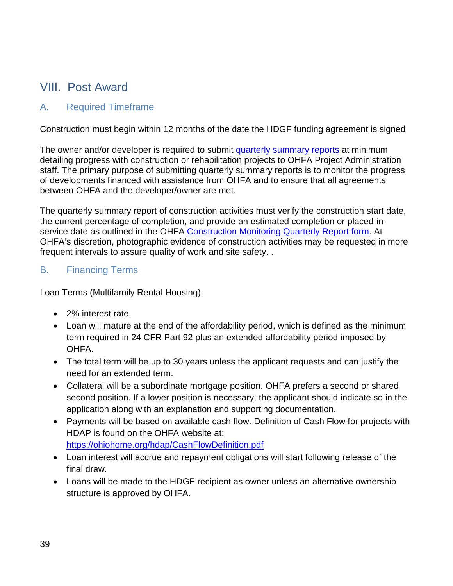# <span id="page-39-0"></span>VIII. Post Award

#### <span id="page-39-1"></span>A. Required Timeframe

Construction must begin within 12 months of the date the HDGF funding agreement is signed

The owner and/or developer is required to submit [quarterly summary reports](https://ohiohome.org/lihtc/ConstructionMonitoringFormInstructions.pdf) at minimum detailing progress with construction or rehabilitation projects to OHFA Project Administration staff. The primary purpose of submitting quarterly summary reports is to monitor the progress of developments financed with assistance from OHFA and to ensure that all agreements between OHFA and the developer/owner are met.

The quarterly summary report of construction activities must verify the construction start date, the current percentage of completion, and provide an estimated completion or placed-in-service date as outlined in the OHFA [Construction Monitoring Quarterly Report form.](https://www.google.com/url?q=http://ohiohome.org/lihtc/OHFA-ConstructionMonitoringForm.docx&sa=U&ei=fsJMVaeBFcyfNsW_gcAO&ved=0CAYQFjAB&client=internal-uds-cse&usg=AFQjCNHgbkP5EfWq018whXBbLinxhOOxzQ) At OHFA's discretion, photographic evidence of construction activities may be requested in more frequent intervals to assure quality of work and site safety. .

#### <span id="page-39-2"></span>B. Financing Terms

Loan Terms (Multifamily Rental Housing):

- 2% interest rate.
- Loan will mature at the end of the affordability period, which is defined as the minimum term required in 24 CFR Part 92 plus an extended affordability period imposed by OHFA.
- The total term will be up to 30 years unless the applicant requests and can justify the need for an extended term.
- Collateral will be a subordinate mortgage position. OHFA prefers a second or shared second position. If a lower position is necessary, the applicant should indicate so in the application along with an explanation and supporting documentation.
- Payments will be based on available cash flow. Definition of Cash Flow for projects with HDAP is found on the OHFA website at: <https://ohiohome.org/hdap/CashFlowDefinition.pdf>
- Loan interest will accrue and repayment obligations will start following release of the final draw.
- Loans will be made to the HDGF recipient as owner unless an alternative ownership structure is approved by OHFA.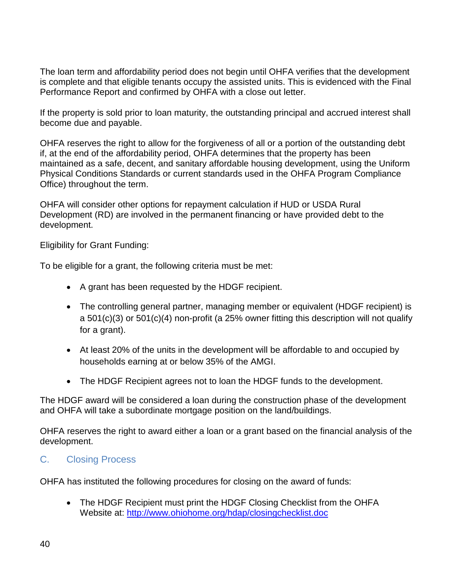The loan term and affordability period does not begin until OHFA verifies that the development is complete and that eligible tenants occupy the assisted units. This is evidenced with the Final Performance Report and confirmed by OHFA with a close out letter.

If the property is sold prior to loan maturity, the outstanding principal and accrued interest shall become due and payable.

OHFA reserves the right to allow for the forgiveness of all or a portion of the outstanding debt if, at the end of the affordability period, OHFA determines that the property has been maintained as a safe, decent, and sanitary affordable housing development, using the Uniform Physical Conditions Standards or current standards used in the OHFA Program Compliance Office) throughout the term.

OHFA will consider other options for repayment calculation if HUD or USDA Rural Development (RD) are involved in the permanent financing or have provided debt to the development.

Eligibility for Grant Funding:

To be eligible for a grant, the following criteria must be met:

- A grant has been requested by the HDGF recipient.
- The controlling general partner, managing member or equivalent (HDGF recipient) is a 501(c)(3) or 501(c)(4) non-profit (a 25% owner fitting this description will not qualify for a grant).
- At least 20% of the units in the development will be affordable to and occupied by households earning at or below 35% of the AMGI.
- The HDGF Recipient agrees not to loan the HDGF funds to the development.

The HDGF award will be considered a loan during the construction phase of the development and OHFA will take a subordinate mortgage position on the land/buildings.

OHFA reserves the right to award either a loan or a grant based on the financial analysis of the development.

#### <span id="page-40-0"></span>C. Closing Process

OHFA has instituted the following procedures for closing on the award of funds:

• The HDGF Recipient must print the HDGF Closing Checklist from the OHFA Website at:<http://www.ohiohome.org/hdap/closingchecklist.doc>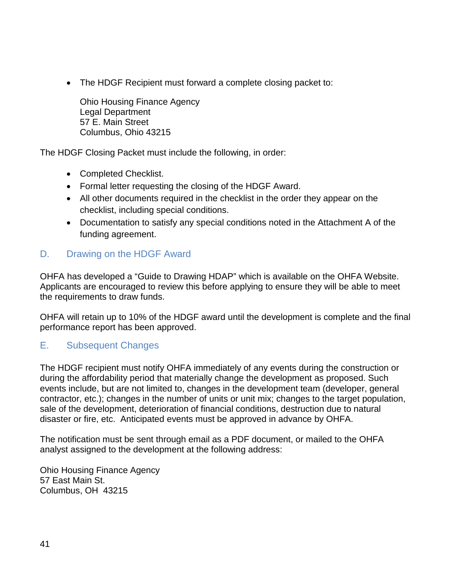• The HDGF Recipient must forward a complete closing packet to:

Ohio Housing Finance Agency Legal Department 57 E. Main Street Columbus, Ohio 43215

The HDGF Closing Packet must include the following, in order:

- Completed Checklist.
- Formal letter requesting the closing of the HDGF Award.
- All other documents required in the checklist in the order they appear on the checklist, including special conditions.
- Documentation to satisfy any special conditions noted in the Attachment A of the funding agreement.

#### <span id="page-41-0"></span>D. Drawing on the HDGF Award

OHFA has developed a "Guide to Drawing HDAP" which is available on the OHFA Website. Applicants are encouraged to review this before applying to ensure they will be able to meet the requirements to draw funds.

OHFA will retain up to 10% of the HDGF award until the development is complete and the final performance report has been approved.

#### <span id="page-41-1"></span>E. Subsequent Changes

The HDGF recipient must notify OHFA immediately of any events during the construction or during the affordability period that materially change the development as proposed. Such events include, but are not limited to, changes in the development team (developer, general contractor, etc.); changes in the number of units or unit mix; changes to the target population, sale of the development, deterioration of financial conditions, destruction due to natural disaster or fire, etc. Anticipated events must be approved in advance by OHFA.

The notification must be sent through email as a PDF document, or mailed to the OHFA analyst assigned to the development at the following address:

Ohio Housing Finance Agency 57 East Main St. Columbus, OH 43215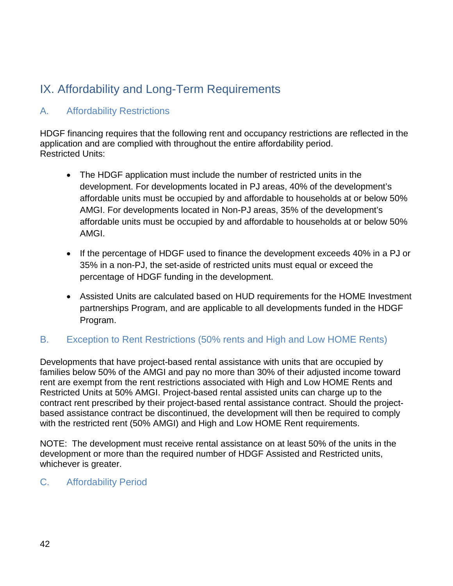# <span id="page-42-0"></span>IX. Affordability and Long-Term Requirements

#### <span id="page-42-1"></span>A. Affordability Restrictions

HDGF financing requires that the following rent and occupancy restrictions are reflected in the application and are complied with throughout the entire affordability period. Restricted Units:

- The HDGF application must include the number of restricted units in the development. For developments located in PJ areas, 40% of the development's affordable units must be occupied by and affordable to households at or below 50% AMGI. For developments located in Non-PJ areas, 35% of the development's affordable units must be occupied by and affordable to households at or below 50% AMGI.
- If the percentage of HDGF used to finance the development exceeds 40% in a PJ or 35% in a non-PJ, the set-aside of restricted units must equal or exceed the percentage of HDGF funding in the development.
- Assisted Units are calculated based on HUD requirements for the HOME Investment partnerships Program, and are applicable to all developments funded in the HDGF Program.

#### <span id="page-42-2"></span>B. Exception to Rent Restrictions (50% rents and High and Low HOME Rents)

Developments that have project-based rental assistance with units that are occupied by families below 50% of the AMGI and pay no more than 30% of their adjusted income toward rent are exempt from the rent restrictions associated with High and Low HOME Rents and Restricted Units at 50% AMGI. Project-based rental assisted units can charge up to the contract rent prescribed by their project-based rental assistance contract. Should the projectbased assistance contract be discontinued, the development will then be required to comply with the restricted rent (50% AMGI) and High and Low HOME Rent requirements.

NOTE: The development must receive rental assistance on at least 50% of the units in the development or more than the required number of HDGF Assisted and Restricted units, whichever is greater.

#### <span id="page-42-3"></span>C. Affordability Period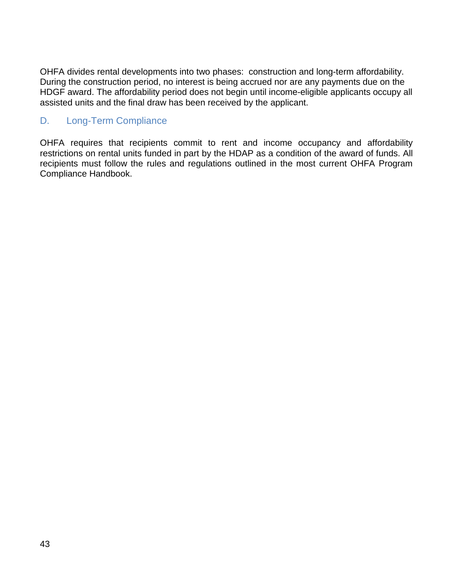OHFA divides rental developments into two phases: construction and long-term affordability. During the construction period, no interest is being accrued nor are any payments due on the HDGF award. The affordability period does not begin until income-eligible applicants occupy all assisted units and the final draw has been received by the applicant.

#### <span id="page-43-0"></span>D. Long-Term Compliance

OHFA requires that recipients commit to rent and income occupancy and affordability restrictions on rental units funded in part by the HDAP as a condition of the award of funds. All recipients must follow the rules and regulations outlined in the most current OHFA Program Compliance Handbook.